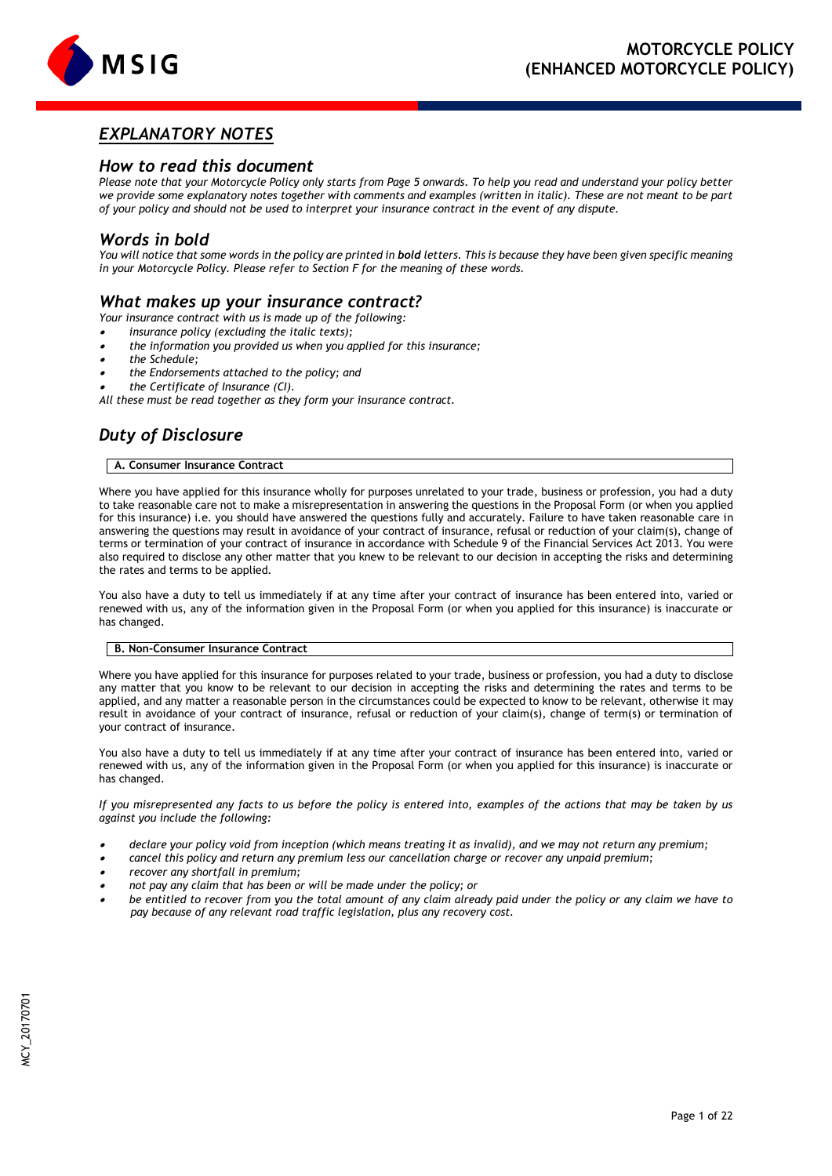

# *EXPLANATORY NOTES*

# *How to read this document*

*Please note that your Motorcycle Policy only starts from Page 5 onwards. To help you read and understand your policy better we provide some explanatory notes together with comments and examples (written in italic). These are not meant to be part of your policy and should not be used to interpret your insurance contract in the event of any dispute.*

# *Words in bold*

You will notice that some words in the policy are printed in **bold** letters. This is because they have been given specific meaning *in your Motorcycle Policy. Please refer to Section F for the meaning of these words.*

# *What makes up your insurance contract?*

*Your insurance contract with us is made up of the following:*

. *insurance policy (excluding the italic texts);*

- . *the information you provided us when you applied for this insurance;*
- . *the Schedule;*
- . *the Endorsements attached to the policy; and*

. *the Certificate of Insurance (CI).* 

*All these must be read together as they form your insurance contract.*

# *Duty of Disclosure*

# **A. Consumer Insurance Contract**

Where you have applied for this insurance wholly for purposes unrelated to your trade, business or profession, you had a duty to take reasonable care not to make a misrepresentation in answering the questions in the Proposal Form (or when you applied for this insurance) i.e. you should have answered the questions fully and accurately. Failure to have taken reasonable care in answering the questions may result in avoidance of your contract of insurance, refusal or reduction of your claim(s), change of terms or termination of your contract of insurance in accordance with Schedule 9 of the Financial Services Act 2013. You were also required to disclose any other matter that you knew to be relevant to our decision in accepting the risks and determining the rates and terms to be applied.

You also have a duty to tell us immediately if at any time after your contract of insurance has been entered into, varied or renewed with us, any of the information given in the Proposal Form (or when you applied for this insurance) is inaccurate or has changed.

# **B. Non-Consumer Insurance Contract**

Where you have applied for this insurance for purposes related to your trade, business or profession, you had a duty to disclose any matter that you know to be relevant to our decision in accepting the risks and determining the rates and terms to be applied, and any matter a reasonable person in the circumstances could be expected to know to be relevant, otherwise it may result in avoidance of your contract of insurance, refusal or reduction of your claim(s), change of term(s) or termination of your contract of insurance.

You also have a duty to tell us immediately if at any time after your contract of insurance has been entered into, varied or renewed with us, any of the information given in the Proposal Form (or when you applied for this insurance) is inaccurate or has changed.

*If you misrepresented any facts to us before the policy is entered into, examples of the actions that may be taken by us against you include the following:*

- . *declare your policy void from inception (which means treating it as invalid), and we may not return any premium;*
- . *cancel this policy and return any premium less our cancellation charge or recover any unpaid premium;*
- . *recover any shortfall in premium;*
- . *not pay any claim that has been or will be made under the policy; or*
- . *be entitled to recover from you the total amount of any claim already paid under the policy or any claim we have to pay because of any relevant road traffic legislation, plus any recovery cost.*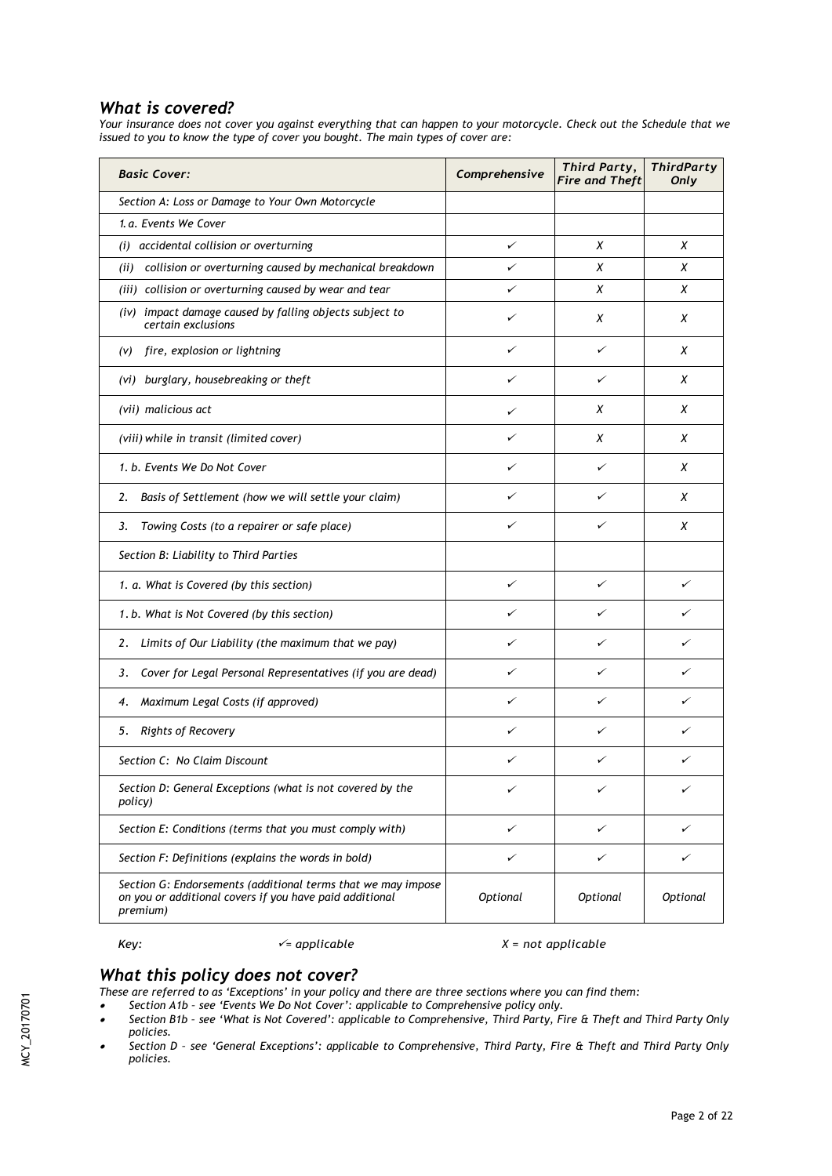# *What is covered?*

*Your insurance does not cover you against everything that can happen to your motorcycle. Check out the Schedule that we issued to you to know the type of cover you bought. The main types of cover are:*

| <b>Basic Cover:</b>                                                                                                                 | Comprehensive | Third Party,<br><b>Fire and Theft</b> | <b>ThirdParty</b><br>Only |
|-------------------------------------------------------------------------------------------------------------------------------------|---------------|---------------------------------------|---------------------------|
| Section A: Loss or Damage to Your Own Motorcycle                                                                                    |               |                                       |                           |
| 1.a. Events We Cover                                                                                                                |               |                                       |                           |
| (i) accidental collision or overturning                                                                                             | ✓             | X                                     | X                         |
| (ii) collision or overturning caused by mechanical breakdown                                                                        | ✓             | X                                     | X                         |
| (iii) collision or overturning caused by wear and tear                                                                              | ✓             | х                                     | х                         |
| (iv) impact damage caused by falling objects subject to<br>certain exclusions                                                       | ✓             | X                                     | X                         |
| (v) fire, explosion or lightning                                                                                                    | ✓             | ✓                                     | x                         |
| (vi) burglary, housebreaking or theft                                                                                               | ✓             | ✓                                     | Х                         |
| (vii) malicious act                                                                                                                 | ✓             | Х                                     | Χ                         |
| (viii) while in transit (limited cover)                                                                                             | ✓             | X                                     | X                         |
| 1. b. Events We Do Not Cover                                                                                                        | ✓             | ✓                                     | X                         |
| Basis of Settlement (how we will settle your claim)<br>2.                                                                           | ✓             | ✓                                     | Χ                         |
| Towing Costs (to a repairer or safe place)<br>3.                                                                                    | ✓             | ✓                                     | X                         |
| Section B: Liability to Third Parties                                                                                               |               |                                       |                           |
| 1. a. What is Covered (by this section)                                                                                             | ✓             | ✓                                     | ✓                         |
| 1. b. What is Not Covered (by this section)                                                                                         | ✓             | ✓                                     | ╱                         |
| Limits of Our Liability (the maximum that we pay)<br>2.                                                                             | ✓             | ✓                                     | ╱                         |
| Cover for Legal Personal Representatives (if you are dead)<br>3.                                                                    | ✓             | ✓                                     | ✓                         |
| Maximum Legal Costs (if approved)<br>4.                                                                                             | ✓             | ✓                                     | ╱                         |
| Rights of Recovery<br>5.                                                                                                            | ✓             | ✓                                     | ╱                         |
| Section C: No Claim Discount                                                                                                        | ✓             | ✓                                     | ✓                         |
| Section D: General Exceptions (what is not covered by the<br>policy)                                                                | ✓             |                                       |                           |
| Section E: Conditions (terms that you must comply with)                                                                             | ✓             | ✓                                     | ✓                         |
| Section F: Definitions (explains the words in bold)                                                                                 | ✓             | ✓                                     | ✓                         |
| Section G: Endorsements (additional terms that we may impose<br>on you or additional covers if you have paid additional<br>premium) | Optional      | Optional                              | Optional                  |

# *Key: = applicable X = not applicable*

# *What this policy does not cover?*

*These are referred to as 'Exceptions' in your policy and there are three sections where you can find them: Section A1b – see 'Events We Do Not Cover': applicable to Comprehensive policy only.*

- 
- $\bullet$  *Section B1b – see 'What is Not Covered': applicable to Comprehensive, Third Party, Fire & Theft and Third Party Only policies.*
- . *Section D – see 'General Exceptions': applicable to Comprehensive, Third Party, Fire & Theft and Third Party Only policies.*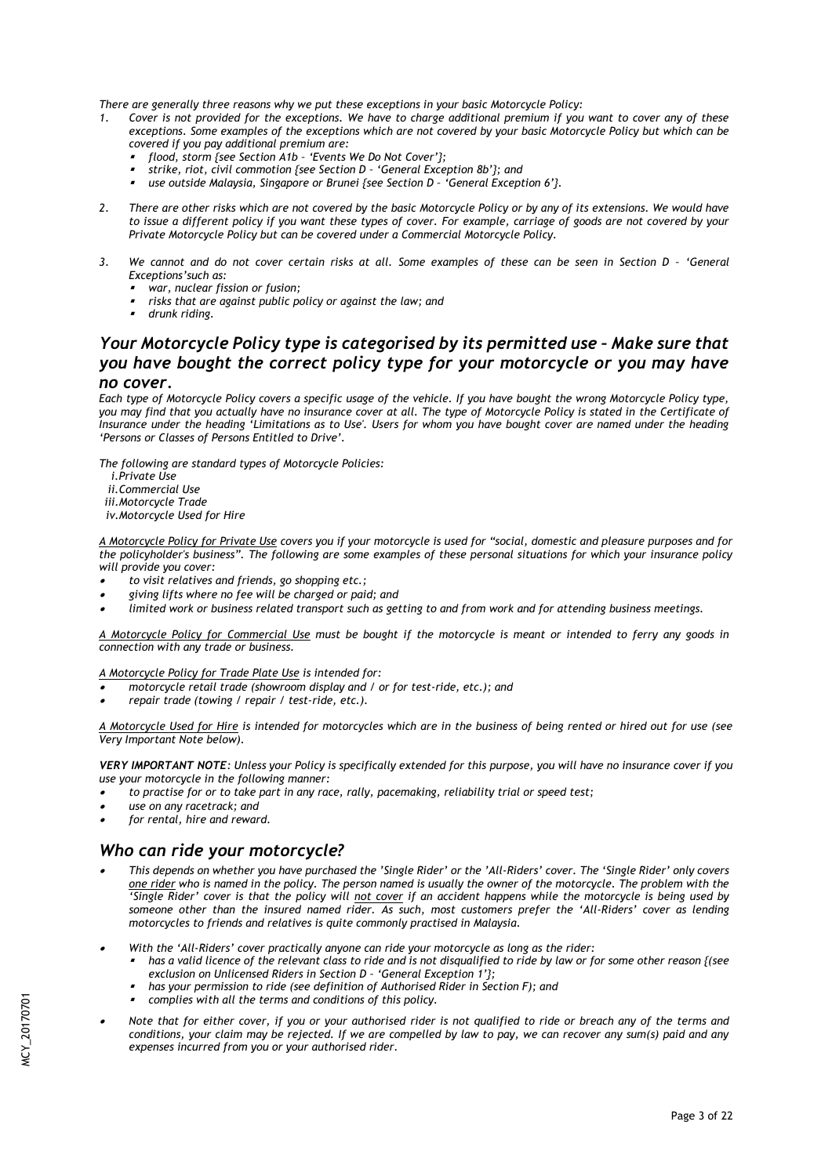*There are generally three reasons why we put these exceptions in your basic Motorcycle Policy:*

- *1. Cover is not provided for the exceptions. We have to charge additional premium if you want to cover any of these exceptions. Some examples of the exceptions which are not covered by your basic Motorcycle Policy but which can be covered if you pay additional premium are:*
	- . *flood, storm {see Section A1b – 'Events We Do Not Cover'};*
	- . *strike, riot, civil commotion {see Section D – 'General Exception 8b'}; and*
	- $\mathbf{r}$ *use outside Malaysia, Singapore or Brunei {see Section D – 'General Exception 6'}.*
- *2. There are other risks which are not covered by the basic Motorcycle Policy or by any of its extensions. We would have to issue a different policy if you want these types of cover. For example, carriage of goods are not covered by your Private Motorcycle Policy but can be covered under a Commercial Motorcycle Policy.*
- 3. We cannot and do not cover certain risks at all. Some examples of these can be seen in Section D 'General *Exceptions'such as:*
	- . *war, nuclear fission or fusion;*
	- , *risks that are against public policy or against the law; and*
	- , *drunk riding.*

# *Your Motorcycle Policy type is categorised by its permitted use - Make sure that you have bought the correct policy type for your motorcycle or you may have no cover.*

*Each type of Motorcycle Policy covers a specific usage of the vehicle. If you have bought the wrong Motorcycle Policy type, you may find that you actually have no insurance cover at all. The type of Motorcycle Policy is stated in the Certificate of Insurance under the heading 'Limitations as to Use'. Users for whom you have bought cover are named under the heading 'Persons or Classes of Persons Entitled to Drive'.*

*The following are standard types of Motorcycle Policies:*

- *i.Private Use*
- *ii.Commercial Use*
- *iii.Motorcycle Trade*

*iv.Motorcycle Used for Hire*

*A Motorcycle Policy for Private Use covers you if your motorcycle is used for "social, domestic and pleasure purposes and for the policyholder's business". The following are some examples of these personal situations for which your insurance policy will provide you cover:* 

- . *to visit relatives and friends, go shopping etc.;*
- . *giving lifts where no fee will be charged or paid; and*
- . *limited work or business related transport such as getting to and from work and for attending business meetings.*

*A Motorcycle Policy for Commercial Use must be bought if the motorcycle is meant or intended to ferry any goods in connection with any trade or business.*

*A Motorcycle Policy for Trade Plate Use is intended for:*

- . *motorcycle retail trade (showroom display and / or for test-ride, etc.); and*
- . *repair trade (towing / repair / test-ride, etc.).*

*A Motorcycle Used for Hire is intended for motorcycles which are in the business of being rented or hired out for use (see Very Important Note below).*

*VERY IMPORTANT NOTE: Unless your Policy is specifically extended for this purpose, you will have no insurance cover if you use your motorcycle in the following manner:*

- . *to practise for or to take part in any race, rally, pacemaking, reliability trial or speed test;*
- . *use on any racetrack; and*
- . *for rental, hire and reward.*

# *Who can ride your motorcycle?*

- . *This depends on whether you have purchased the 'Single Rider' or the 'All-Riders' cover. The 'Single Rider' only covers one rider who is named in the policy. The person named is usually the owner of the motorcycle. The problem with the*  'Single Rider' cover is that the policy will not cover if an accident happens while the motorcycle is being used by *someone other than the insured named rider. As such, most customers prefer the 'All-Riders' cover as lending motorcycles to friends and relatives is quite commonly practised in Malaysia.*
- . *With the 'All-Riders' cover practically anyone can ride your motorcycle as long as the rider:*
	- , *has a valid licence of the relevant class to ride and is not disqualified to ride by law or for some other reason {(see exclusion on Unlicensed Riders in Section D – 'General Exception 1'};*
	- , *has your permission to ride (see definition of Authorised Rider in Section F); and*
	- , *complies with all the terms and conditions of this policy.*
- . *Note that for either cover, if you or your authorised rider is not qualified to ride or breach any of the terms and conditions, your claim may be rejected. If we are compelled by law to pay, we can recover any sum(s) paid and any expenses incurred from you or your authorised rider.*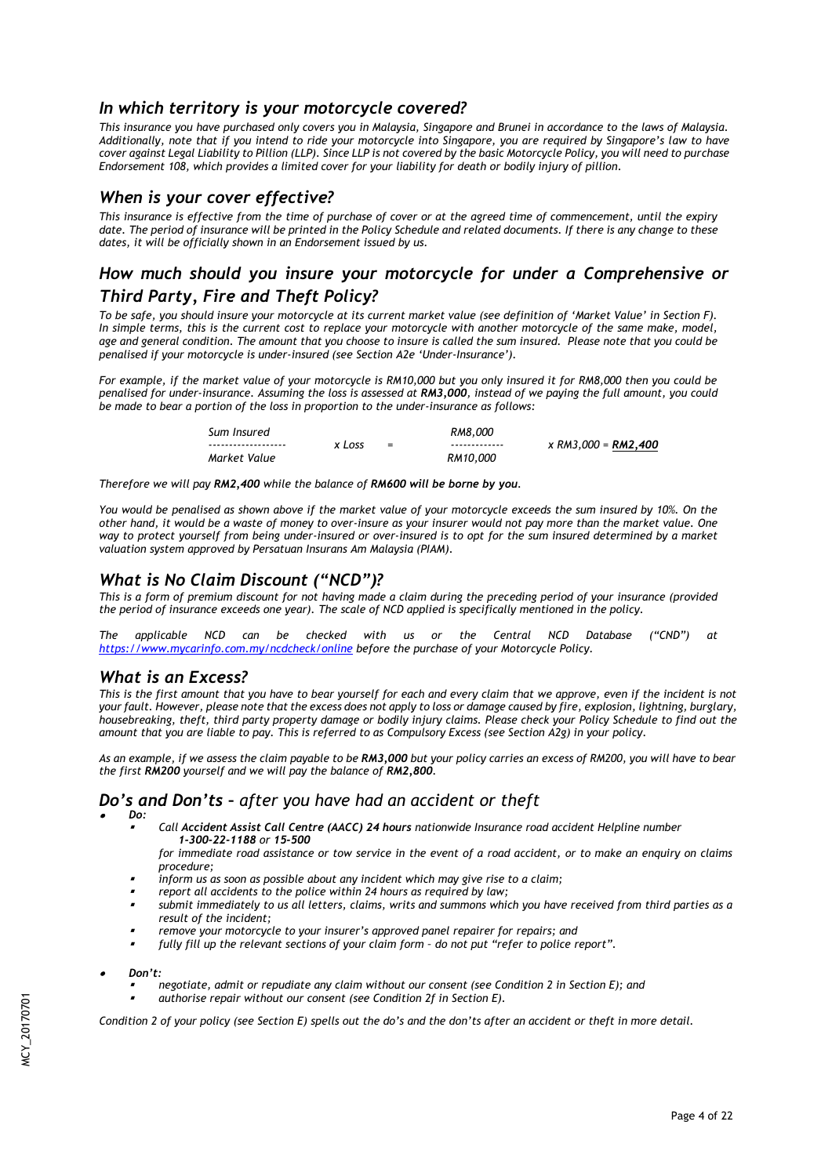# *In which territory is your motorcycle covered?*

*This insurance you have purchased only covers you in Malaysia, Singapore and Brunei in accordance to the laws of Malaysia. Additionally, note that if you intend to ride your motorcycle into Singapore, you are required by Singapore's law to have cover against Legal Liability to Pillion (LLP). Since LLP is not covered by the basic Motorcycle Policy, you will need to purchase Endorsement 108, which provides a limited cover for your liability for death or bodily injury of pillion.* 

# *When is your cover effective?*

*This insurance is effective from the time of purchase of cover or at the agreed time of commencement, until the expiry*  date. The period of insurance will be printed in the Policy Schedule and related documents. If there is any change to these *dates, it will be officially shown in an Endorsement issued by us.*

# *How much should you insure your motorcycle for under a Comprehensive or Third Party, Fire and Theft Policy?*

*To be safe, you should insure your motorcycle at its current market value (see definition of 'Market Value' in Section F).*  In simple terms, this is the current cost to replace your motorcycle with another motorcycle of the same make, model, *age and general condition. The amount that you choose to insure is called the sum insured. Please note that you could be penalised if your motorcycle is under-insured (see Section A2e 'Under-Insurance').*

*For example, if the market value of your motorcycle is RM10,000 but you only insured it for RM8,000 then you could be penalised for under-insurance. Assuming the loss is assessed at RM3,000, instead of we paying the full amount, you could be made to bear a portion of the loss in proportion to the under-insurance as follows:*

| Sum Insured          |        |     | RM8.000       |                            |
|----------------------|--------|-----|---------------|----------------------------|
| -------------------- | x Loss | $=$ | ------------- | x RM3.000 = <b>RM2.400</b> |
| Market Value         |        |     | RM10.000      |                            |

*Therefore we will pay RM2,400 while the balance of RM600 will be borne by you.*

*You would be penalised as shown above if the market value of your motorcycle exceeds the sum insured by 10%. On the other hand, it would be a waste of money to over-insure as your insurer would not pay more than the market value. One*  way to protect yourself from being under-insured or over-insured is to opt for the sum insured determined by a market *valuation system approved by Persatuan Insurans Am Malaysia (PIAM).* 

# *What is No Claim Discount ("NCD")?*

*This is a form of premium discount for not having made a claim during the preceding period of your insurance (provided the period of insurance exceeds one year). The scale of NCD applied is specifically mentioned in the policy.*

*The applicable NCD can be checked with us or the Central NCD Database ("CND") at <https://www.mycarinfo.com.my/ncdcheck/online> before the purchase of your Motorcycle Policy.* 

# *What is an Excess?*

*This is the first amount that you have to bear yourself for each and every claim that we approve, even if the incident is not your fault. However, please note that the excess does not apply to loss or damage caused by fire, explosion, lightning, burglary, housebreaking, theft, third party property damage or bodily injury claims. Please check your Policy Schedule to find out the amount that you are liable to pay. This is referred to as Compulsory Excess (see Section A2g) in your policy.* 

*As an example, if we assess the claim payable to be RM3,000 but your policy carries an excess of RM200, you will have to bear the first RM200 yourself and we will pay the balance of RM2,800.*

# *Do's and Don'ts – after you have had an accident or theft*

- . *Do:*
	- , *Call Accident Assist Call Centre (AACC) 24 hours nationwide Insurance road accident Helpline number 1-300-22-1188 or 15-500*
	- *for immediate road assistance or tow service in the event of a road accident, or to make an enquiry on claims procedure;*
	- , *inform us as soon as possible about any incident which may give rise to a claim;*
	- , *report all accidents to the police within 24 hours as required by law;*
	- , *submit immediately to us all letters, claims, writs and summons which you have received from third parties as a result of the incident;*
	- , *remove your motorcycle to your insurer's approved panel repairer for repairs; and*
	- , *fully fill up the relevant sections of your claim form – do not put "refer to police report".*
- . *Don't:*
	- , *negotiate, admit or repudiate any claim without our consent (see Condition 2 in Section E); and*
	- , *authorise repair without our consent (see Condition 2f in Section E).*

*Condition 2 of your policy (see Section E) spells out the do's and the don'ts after an accident or theft in more detail.*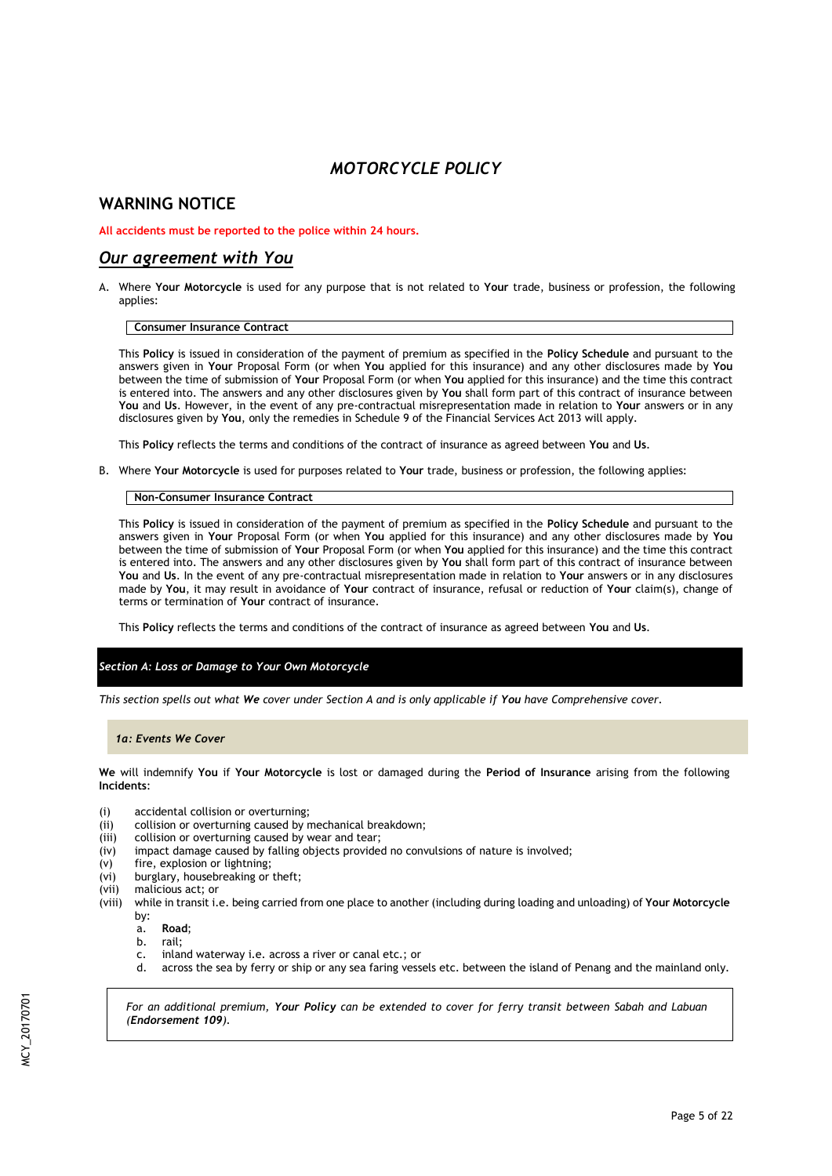# *MOTORCYCLE POLICY*

# **WARNING NOTICE**

# **All accidents must be reported to the police within 24 hours.**

# *Our agreement with You*

A. Where **Your Motorcycle** is used for any purpose that is not related to **Your** trade, business or profession, the following applies:

# **Consumer Insurance Contract**

This **Policy** is issued in consideration of the payment of premium as specified in the **Policy Schedule** and pursuant to the answers given in **Your** Proposal Form (or when **You** applied for this insurance) and any other disclosures made by **You**  between the time of submission of **Your** Proposal Form (or when **You** applied for this insurance) and the time this contract is entered into. The answers and any other disclosures given by **You** shall form part of this contract of insurance between **You** and **Us**. However, in the event of any pre-contractual misrepresentation made in relation to **Your** answers or in any disclosures given by **You**, only the remedies in Schedule 9 of the Financial Services Act 2013 will apply.

This **Policy** reflects the terms and conditions of the contract of insurance as agreed between **You** and **Us**.

B. Where **Your Motorcycle** is used for purposes related to **Your** trade, business or profession, the following applies:

### **Non-Consumer Insurance Contract**

This **Policy** is issued in consideration of the payment of premium as specified in the **Policy Schedule** and pursuant to the answers given in **Your** Proposal Form (or when **You** applied for this insurance) and any other disclosures made by **You** between the time of submission of **Your** Proposal Form (or when **You** applied for this insurance) and the time this contract is entered into. The answers and any other disclosures given by **You** shall form part of this contract of insurance between **You** and **Us**. In the event of any pre-contractual misrepresentation made in relation to **Your** answers or in any disclosures made by **You**, it may result in avoidance of **Your** contract of insurance, refusal or reduction of **Your** claim(s), change of terms or termination of **Your** contract of insurance.

This **Policy** reflects the terms and conditions of the contract of insurance as agreed between **You** and **Us**.

### *Section A: Loss or Damage to Your Own Motorcycle*

*This section spells out what We cover under Section A and is only applicable if You have Comprehensive cover.*

### *1a: Events We Cover*

**We** will indemnify **You** if **Your Motorcycle** is lost or damaged during the **Period of Insurance** arising from the following **Incidents**:

- (i) accidental collision or overturning;
- (ii) collision or overturning caused by mechanical breakdown;
- (iii) collision or overturning caused by wear and tear;<br>(iv) impact damage caused by falling objects provide
- impact damage caused by falling objects provided no convulsions of nature is involved;
- (v) fire, explosion or lightning;
- (vi) burglary, housebreaking or theft;
- (vii) malicious act; or
- (viii) while in transit i.e. being carried from one place to another (including during loading and unloading) of **Your Motorcycle**  by:
	- a. **Road**;
	- b. rail;
	- c. inland waterway i.e. across a river or canal etc.; or
	- d. across the sea by ferry or ship or any sea faring vessels etc. between the island of Penang and the mainland only.

*For an additional premium, Your Policy can be extended to cover for ferry transit between Sabah and Labuan (Endorsement 109).*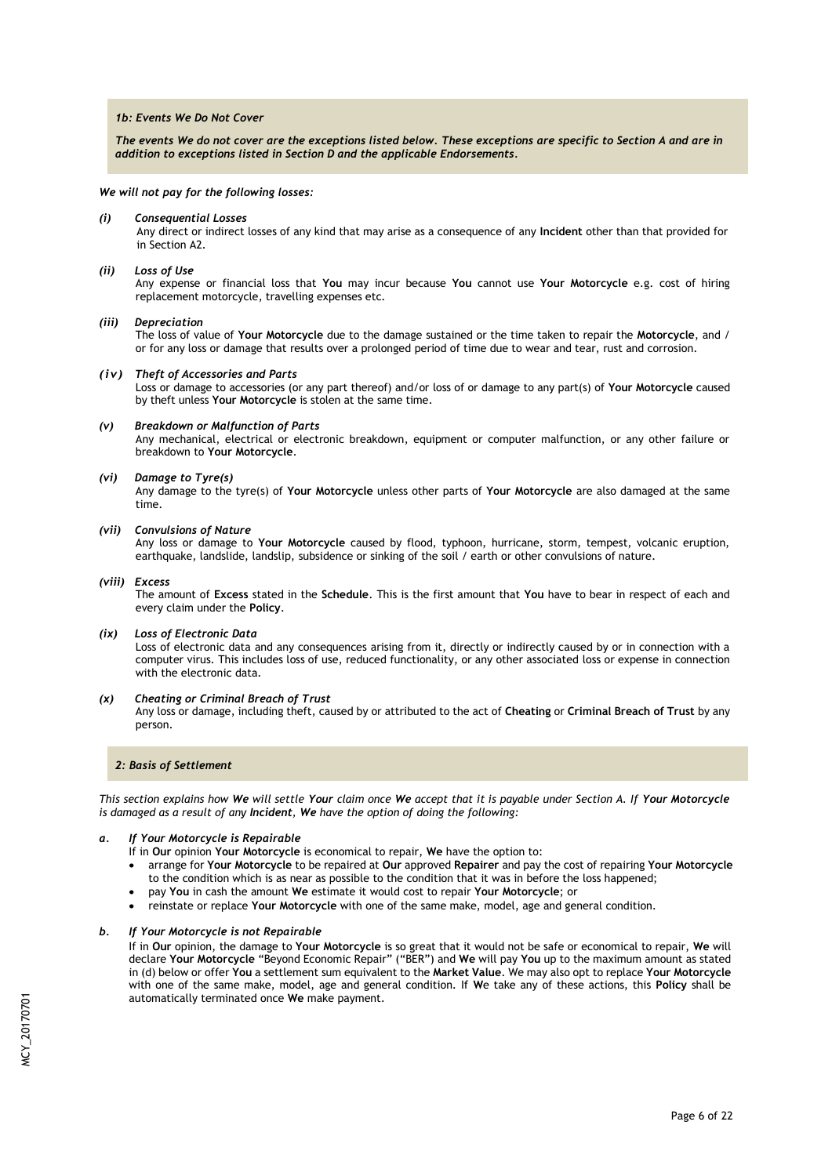### *1b: Events We Do Not Cover*

*The events We do not cover are the exceptions listed below. These exceptions are specific to Section A and are in addition to exceptions listed in Section D and the applicable Endorsements.*

*We will not pay for the following losses:*

*(i) Consequential Losses*

Any direct or indirect losses of any kind that may arise as a consequence of any **Incident** other than that provided for in Section A2.

#### *(ii) Loss of Use*

Any expense or financial loss that **You** may incur because **You** cannot use **Your Motorcycle** e.g. cost of hiring replacement motorcycle, travelling expenses etc.

#### *(iii) Depreciation*

The loss of value of **Your Motorcycle** due to the damage sustained or the time taken to repair the **Motorcycle**, and / or for any loss or damage that results over a prolonged period of time due to wear and tear, rust and corrosion.

#### *(iv) Theft of Accessories and Parts*

Loss or damage to accessories (or any part thereof) and/or loss of or damage to any part(s) of **Your Motorcycle** caused by theft unless **Your Motorcycle** is stolen at the same time.

#### *(v) Breakdown or Malfunction of Parts*

Any mechanical, electrical or electronic breakdown, equipment or computer malfunction, or any other failure or breakdown to **Your Motorcycle**.

#### *(vi) Damage to Tyre(s)*

Any damage to the tyre(s) of **Your Motorcycle** unless other parts of **Your Motorcycle** are also damaged at the same time.

#### *(vii) Convulsions of Nature*

Any loss or damage to **Your Motorcycle** caused by flood, typhoon, hurricane, storm, tempest, volcanic eruption, earthquake, landslide, landslip, subsidence or sinking of the soil / earth or other convulsions of nature.

#### *(viii) Excess*

The amount of **Excess** stated in the **Schedule**. This is the first amount that **You** have to bear in respect of each and every claim under the **Policy**.

#### *(ix) Loss of Electronic Data*

Loss of electronic data and any consequences arising from it, directly or indirectly caused by or in connection with a computer virus. This includes loss of use, reduced functionality, or any other associated loss or expense in connection with the electronic data.

#### *(x) Cheating or Criminal Breach of Trust*

Any loss or damage, including theft, caused by or attributed to the act of **Cheating** or **Criminal Breach of Trust** by any person.

### *2: Basis of Settlement*

*This section explains how We will settle Your claim once We accept that it is payable under Section A. If Your Motorcycle is damaged as a result of any Incident, We have the option of doing the following:*

### *a. If Your Motorcycle is Repairable*

- If in **Our** opinion **Your Motorcycle** is economical to repair, **We** have the option to:
- arrange for **Your Motorcycle** to be repaired at **Our** approved **Repairer** and pay the cost of repairing **Your Motorcycle** to the condition which is as near as possible to the condition that it was in before the loss happened;
- pay **You** in cash the amount **We** estimate it would cost to repair **Your Motorcycle**; or
- reinstate or replace **Your Motorcycle** with one of the same make, model, age and general condition.

#### *b. If Your Motorcycle is not Repairable*

If in **Our** opinion, the damage to **Your Motorcycle** is so great that it would not be safe or economical to repair, **We** will declare **Your Motorcycle** "Beyond Economic Repair" ("BER") and **We** will pay **You** up to the maximum amount as stated in (d) below or offer **You** a settlement sum equivalent to the **Market Value**. We may also opt to replace **Your Motorcycle**  with one of the same make, model, age and general condition. If **W**e take any of these actions, this **Policy** shall be automatically terminated once **We** make payment.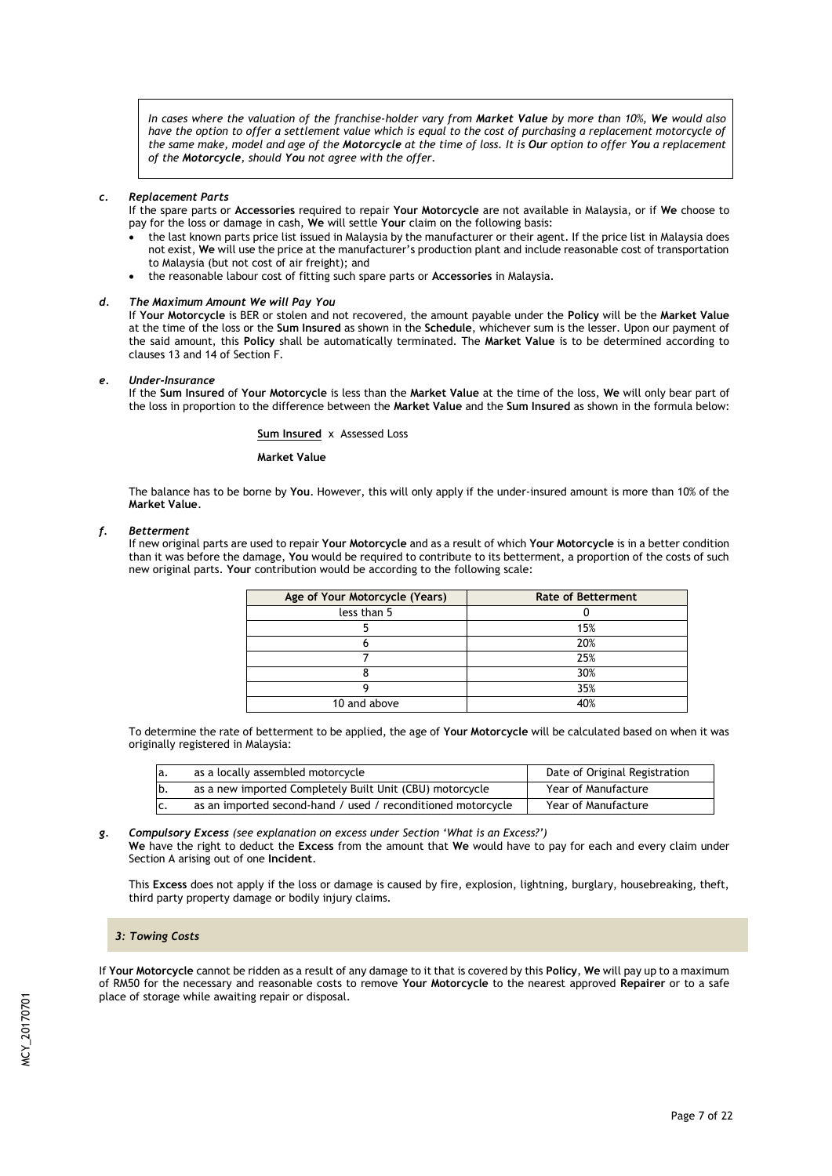*In cases where the valuation of the franchise-holder vary from Market Value by more than 10%, We would also have the option to offer a settlement value which is equal to the cost of purchasing a replacement motorcycle of the same make, model and age of the Motorcycle at the time of loss. It is Our option to offer You a replacement of the Motorcycle, should You not agree with the offer.*

#### *c. Replacement Parts*

If the spare parts or **Accessories** required to repair **Your Motorcycle** are not available in Malaysia, or if **We** choose to pay for the loss or damage in cash, **We** will settle **Your** claim on the following basis:

- the last known parts price list issued in Malaysia by the manufacturer or their agent. If the price list in Malaysia does not exist, **We** will use the price at the manufacturer's production plant and include reasonable cost of transportation to Malaysia (but not cost of air freight); and
- the reasonable labour cost of fitting such spare parts or **Accessories** in Malaysia.

### *d. The Maximum Amount We will Pay You*

If **Your Motorcycle** is BER or stolen and not recovered, the amount payable under the **Policy** will be the **Market Value**  at the time of the loss or the **Sum Insured** as shown in the **Schedule**, whichever sum is the lesser. Upon our payment of the said amount, this **Policy** shall be automatically terminated. The **Market Value** is to be determined according to clauses 13 and 14 of Section F.

#### *e. Under-Insurance*

If the **Sum Insured** of **Your Motorcycle** is less than the **Market Value** at the time of the loss, **We** will only bear part of the loss in proportion to the difference between the **Market Value** and the **Sum Insured** as shown in the formula below:

#### **Sum Insured** xAssessed Loss

#### **Market Value**

The balance has to be borne by **You**. However, this will only apply if the under-insured amount is more than 10% of the **Market Value**.

#### *f. Betterment*

If new original parts are used to repair **Your Motorcycle** and as a result of which **Your Motorcycle** is in a better condition than it was before the damage, **You** would be required to contribute to its betterment, a proportion of the costs of such new original parts. **Your** contribution would be according to the following scale:

| Age of Your Motorcycle (Years) | <b>Rate of Betterment</b> |
|--------------------------------|---------------------------|
| less than 5                    |                           |
|                                | 15%                       |
|                                | 20%                       |
|                                | 25%                       |
|                                | 30%                       |
|                                | 35%                       |
| 10 and above                   | 40%                       |

To determine the rate of betterment to be applied, the age of **Your Motorcycle** will be calculated based on when it was originally registered in Malaysia:

| la. | as a locally assembled motorcycle                            | Date of Original Registration |
|-----|--------------------------------------------------------------|-------------------------------|
| lb. | as a new imported Completely Built Unit (CBU) motorcycle     | Year of Manufacture           |
| IC. | as an imported second-hand / used / reconditioned motorcycle | Year of Manufacture           |

*g. Compulsory Excess (see explanation on excess under Section 'What is an Excess?')*

**We** have the right to deduct the **Excess** from the amount that **We** would have to pay for each and every claim under Section A arising out of one **Incident**.

This **Excess** does not apply if the loss or damage is caused by fire, explosion, lightning, burglary, housebreaking, theft, third party property damage or bodily injury claims.

#### *3: Towing Costs*

If **Your Motorcycle** cannot be ridden as a result of any damage to it that is covered by this **Policy**, **We** will pay up to a maximum of RM50 for the necessary and reasonable costs to remove **Your Motorcycle** to the nearest approved **Repairer** or to a safe place of storage while awaiting repair or disposal.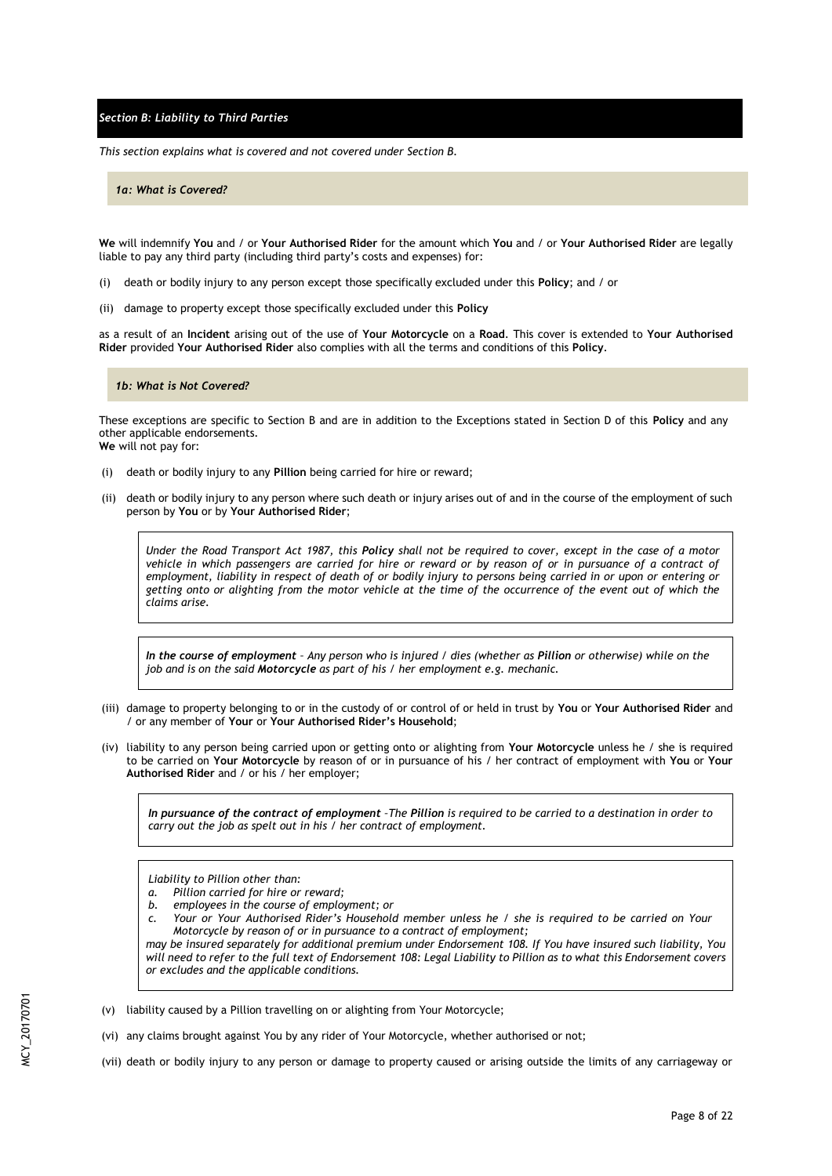*Section B: Liability to Third Parties*

*This section explains what is covered and not covered under Section B.*

*1a: What is Covered?*

**We** will indemnify **You** and / or **Your Authorised Rider** for the amount which **You** and / or **Your Authorised Rider** are legally liable to pay any third party (including third party's costs and expenses) for:

- (i) death or bodily injury to any person except those specifically excluded under this **Policy**; and / or
- (ii) damage to property except those specifically excluded under this **Policy**

as a result of an **Incident** arising out of the use of **Your Motorcycle** on a **Road**. This cover is extended to **Your Authorised Rider** provided **Your Authorised Rider** also complies with all the terms and conditions of this **Policy**.

#### *1b: What is Not Covered?*

These exceptions are specific to Section B and are in addition to the Exceptions stated in Section D of this **Policy** and any other applicable endorsements. **We** will not pay for:

- (i) death or bodily injury to any **Pillion** being carried for hire or reward;
- (ii) death or bodily injury to any person where such death or injury arises out of and in the course of the employment of such person by **You** or by **Your Authorised Rider**;

*Under the Road Transport Act 1987, this Policy shall not be required to cover, except in the case of a motor vehicle in which passengers are carried for hire or reward or by reason of or in pursuance of a contract of employment, liability in respect of death of or bodily injury to persons being carried in or upon or entering or getting onto or alighting from the motor vehicle at the time of the occurrence of the event out of which the claims arise.*

*In the course of employment – Any person who is injured / dies (whether as Pillion or otherwise) while on the job and is on the said Motorcycle as part of his / her employment e.g. mechanic.*

- (iii) damage to property belonging to or in the custody of or control of or held in trust by **You** or **Your Authorised Rider** and / or any member of **Your** or **Your Authorised Rider's Household**;
- (iv) liability to any person being carried upon or getting onto or alighting from **Your Motorcycle** unless he / she is required to be carried on **Your Motorcycle** by reason of or in pursuance of his / her contract of employment with **You** or **Your Authorised Rider** and / or his / her employer;

*In pursuance of the contract of employment –The Pillion is required to be carried to a destination in order to carry out the job as spelt out in his / her contract of employment.*

*Liability to Pillion other than:*

- *a. Pillion carried for hire or reward;*
- *b. employees in the course of employment; or*
- *c. Your or Your Authorised Rider's Household member unless he / she is required to be carried on Your Motorcycle by reason of or in pursuance to a contract of employment;*

*may be insured separately for additional premium under Endorsement 108. If You have insured such liability, You will need to refer to the full text of Endorsement 108: Legal Liability to Pillion as to what this Endorsement covers or excludes and the applicable conditions.*

- (v) liability caused by a Pillion travelling on or alighting from Your Motorcycle;
- (vi) any claims brought against You by any rider of Your Motorcycle, whether authorised or not;
- (vii) death or bodily injury to any person or damage to property caused or arising outside the limits of any carriageway or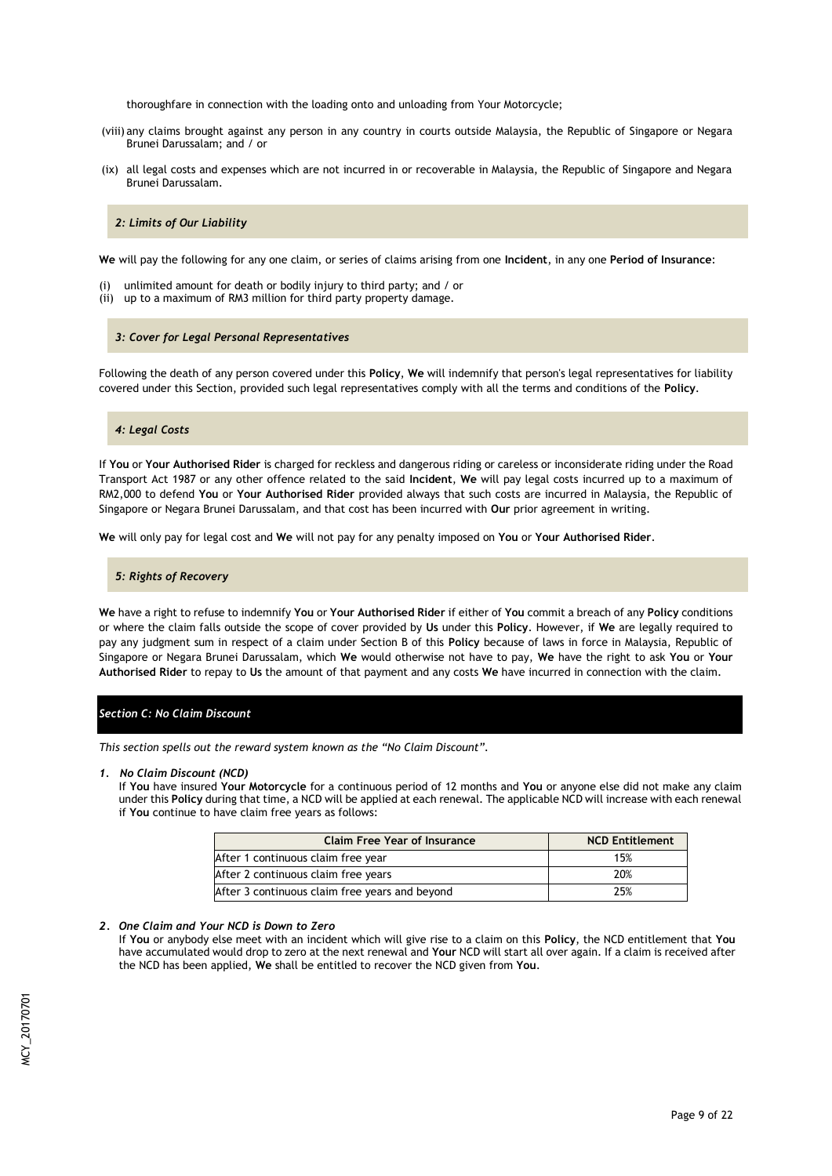thoroughfare in connection with the loading onto and unloading from Your Motorcycle;

- (viii) any claims brought against any person in any country in courts outside Malaysia, the Republic of Singapore or Negara Brunei Darussalam; and / or
- (ix) all legal costs and expenses which are not incurred in or recoverable in Malaysia, the Republic of Singapore and Negara Brunei Darussalam.

### *2: Limits of Our Liability*

**We** will pay the following for any one claim, or series of claims arising from one **Incident**, in any one **Period of Insurance**:

- (i) unlimited amount for death or bodily injury to third party; and / or
- (ii) up to a maximum of RM3 million for third party property damage.

#### *3: Cover for Legal Personal Representatives*

Following the death of any person covered under this **Policy**, **We** will indemnify that person's legal representatives for liability covered under this Section, provided such legal representatives comply with all the terms and conditions of the **Policy**.

#### *4: Legal Costs*

If **You** or **Your Authorised Rider** is charged for reckless and dangerous riding or careless or inconsiderate riding under the Road Transport Act 1987 or any other offence related to the said **Incident**, **We** will pay legal costs incurred up to a maximum of RM2,000 to defend **You** or **Your Authorised Rider** provided always that such costs are incurred in Malaysia, the Republic of Singapore or Negara Brunei Darussalam, and that cost has been incurred with **Our** prior agreement in writing.

**We** will only pay for legal cost and **We** will not pay for any penalty imposed on **You** or **Your Authorised Rider**.

#### *5: Rights of Recovery*

**We** have a right to refuse to indemnify **You** or **Your Authorised Rider** if either of **You** commit a breach of any **Policy** conditions or where the claim falls outside the scope of cover provided by **Us** under this **Policy**. However, if **We** are legally required to pay any judgment sum in respect of a claim under Section B of this **Policy** because of laws in force in Malaysia, Republic of Singapore or Negara Brunei Darussalam, which **We** would otherwise not have to pay, **We** have the right to ask **You** or **Your Authorised Rider** to repay to **Us** the amount of that payment and any costs **We** have incurred in connection with the claim.

### *Section C: No Claim Discount*

*This section spells out the reward system known as the "No Claim Discount".*

#### *1. No Claim Discount (NCD)*

If **You** have insured **Your Motorcycle** for a continuous period of 12 months and **You** or anyone else did not make any claim under this **Policy** during that time, a NCD will be applied at each renewal. The applicable NCD will increase with each renewal if **You** continue to have claim free years as follows:

| <b>Claim Free Year of Insurance</b>            | <b>NCD Entitlement</b> |
|------------------------------------------------|------------------------|
| After 1 continuous claim free year             | 15%                    |
| After 2 continuous claim free years            | 20%                    |
| After 3 continuous claim free years and beyond | 25%                    |

#### *2. One Claim and Your NCD is Down to Zero*

If **You** or anybody else meet with an incident which will give rise to a claim on this **Policy**, the NCD entitlement that **You** have accumulated would drop to zero at the next renewal and **Your** NCD will start all over again. If a claim is received after the NCD has been applied, **We** shall be entitled to recover the NCD given from **You**.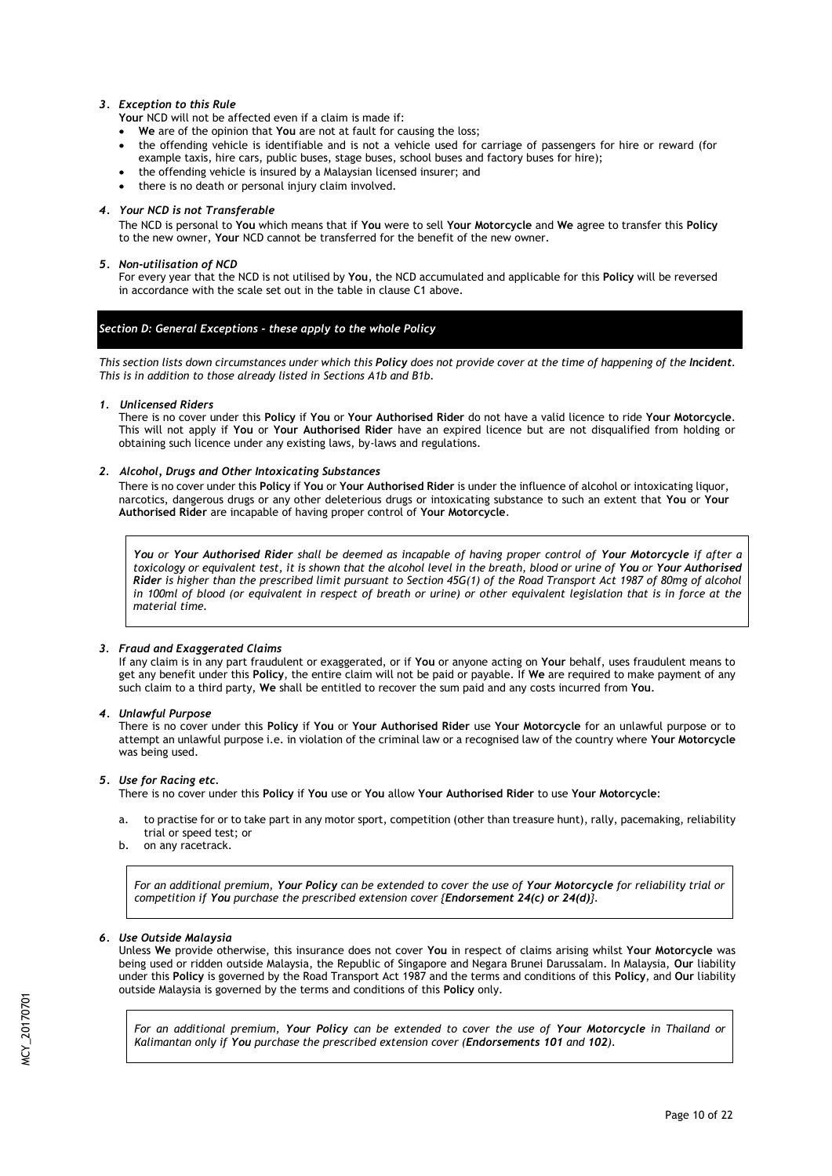# *3. Exception to this Rule*

**Your** NCD will not be affected even if a claim is made if:

- **We** are of the opinion that **You** are not at fault for causing the loss;
- the offending vehicle is identifiable and is not a vehicle used for carriage of passengers for hire or reward (for example taxis, hire cars, public buses, stage buses, school buses and factory buses for hire);
- the offending vehicle is insured by a Malaysian licensed insurer; and
- there is no death or personal injury claim involved.

## *4. Your NCD is not Transferable*

The NCD is personal to **You** which means that if **You** were to sell **Your Motorcycle** and **We** agree to transfer this **Policy** to the new owner, **Your** NCD cannot be transferred for the benefit of the new owner.

## *5. Non-utilisation of NCD*

For every year that the NCD is not utilised by **You**, the NCD accumulated and applicable for this **Policy** will be reversed in accordance with the scale set out in the table in clause C1 above.

# *Section D: General Exceptions - these apply to the whole Policy*

*This section lists down circumstances under which this Policy does not provide cover at the time of happening of the Incident. This is in addition to those already listed in Sections A1b and B1b.*

# *1. Unlicensed Riders*

There is no cover under this **Policy** if **You** or **Your Authorised Rider** do not have a valid licence to ride **Your Motorcycle**. This will not apply if **You** or **Your Authorised Rider** have an expired licence but are not disqualified from holding or obtaining such licence under any existing laws, by-laws and regulations.

# *2. Alcohol, Drugs and Other Intoxicating Substances*

There is no cover under this **Policy** if **You** or **Your Authorised Rider** is under the influence of alcohol or intoxicating liquor, narcotics, dangerous drugs or any other deleterious drugs or intoxicating substance to such an extent that **You** or **Your Authorised Rider** are incapable of having proper control of **Your Motorcycle**.

*You or Your Authorised Rider shall be deemed as incapable of having proper control of Your Motorcycle if after a toxicology or equivalent test, it is shown that the alcohol level in the breath, blood or urine of You or Your Authorised Rider is higher than the prescribed limit pursuant to Section 45G(1) of the Road Transport Act 1987 of 80mg of alcohol in 100ml of blood (or equivalent in respect of breath or urine) or other equivalent legislation that is in force at the material time.* 

# *3. Fraud and Exaggerated Claims*

If any claim is in any part fraudulent or exaggerated, or if **You** or anyone acting on **Your** behalf, uses fraudulent means to get any benefit under this **Policy**, the entire claim will not be paid or payable. If **We** are required to make payment of any such claim to a third party, **We** shall be entitled to recover the sum paid and any costs incurred from **You**.

### *4. Unlawful Purpose*

There is no cover under this **Policy** if **You** or **Your Authorised Rider** use **Your Motorcycle** for an unlawful purpose or to attempt an unlawful purpose i.e. in violation of the criminal law or a recognised law of the country where **Your Motorcycle** was being used.

# *5. Use for Racing etc.*

There is no cover under this **Policy** if **You** use or **You** allow **Your Authorised Rider** to use **Your Motorcycle**:

- a. to practise for or to take part in any motor sport, competition (other than treasure hunt), rally, pacemaking, reliability trial or speed test; or
- b. on any racetrack.

*For an additional premium, Your Policy can be extended to cover the use of Your Motorcycle for reliability trial or competition if You purchase the prescribed extension cover {Endorsement 24(c) or 24(d)}.*

# *6. Use Outside Malaysia*

Unless **We** provide otherwise, this insurance does not cover **You** in respect of claims arising whilst **Your Motorcycle** was being used or ridden outside Malaysia, the Republic of Singapore and Negara Brunei Darussalam. In Malaysia, **Our** liability under this **Policy** is governed by the Road Transport Act 1987 and the terms and conditions of this **Policy**, and **Our** liability outside Malaysia is governed by the terms and conditions of this **Policy** only.

*For an additional premium, Your Policy can be extended to cover the use of Your Motorcycle in Thailand or Kalimantan only if You purchase the prescribed extension cover (Endorsements 101 and 102).*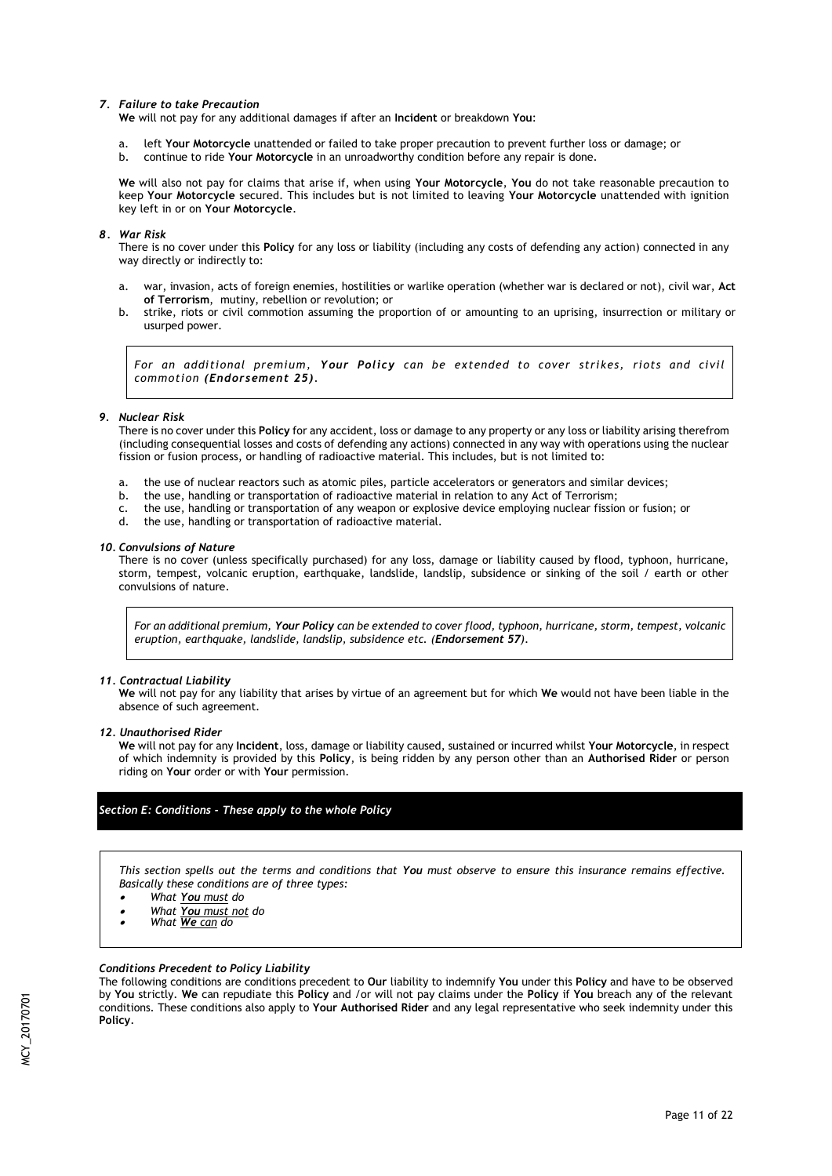#### *7. Failure to take Precaution*

**We** will not pay for any additional damages if after an **Incident** or breakdown **You**:

- a. left **Your Motorcycle** unattended or failed to take proper precaution to prevent further loss or damage; or
- b. continue to ride **Your Motorcycle** in an unroadworthy condition before any repair is done.

**We** will also not pay for claims that arise if, when using **Your Motorcycle**, **You** do not take reasonable precaution to keep **Your Motorcycle** secured. This includes but is not limited to leaving **Your Motorcycle** unattended with ignition key left in or on **Your Motorcycle**.

### *8. War Risk*

There is no cover under this **Policy** for any loss or liability (including any costs of defending any action) connected in any way directly or indirectly to:

- a. war, invasion, acts of foreign enemies, hostilities or warlike operation (whether war is declared or not), civil war, **Act of Terrorism**, mutiny, rebellion or revolution; or
- b. strike, riots or civil commotion assuming the proportion of or amounting to an uprising, insurrection or military or usurped power.

*For an additional premium, Your Policy can be extended to cover strikes, riots and civil commotion (Endorsement 25).*

### *9. Nuclear Risk*

There is no cover under this **Policy** for any accident, loss or damage to any property or any loss or liability arising therefrom (including consequential losses and costs of defending any actions) connected in any way with operations using the nuclear fission or fusion process, or handling of radioactive material. This includes, but is not limited to:

- a. the use of nuclear reactors such as atomic piles, particle accelerators or generators and similar devices;
- b. the use, handling or transportation of radioactive material in relation to any Act of Terrorism;
- c. the use, handling or transportation of any weapon or explosive device employing nuclear fission or fusion; or
- the use, handling or transportation of radioactive material.

#### *10. Convulsions of Nature*

There is no cover (unless specifically purchased) for any loss, damage or liability caused by flood, typhoon, hurricane, storm, tempest, volcanic eruption, earthquake, landslide, landslip, subsidence or sinking of the soil / earth or other convulsions of nature.

*For an additional premium, Your Policy can be extended to cover flood, typhoon, hurricane, storm, tempest, volcanic eruption, earthquake, landslide, landslip, subsidence etc. (Endorsement 57).*

### *11. Contractual Liability*

**We** will not pay for any liability that arises by virtue of an agreement but for which **We** would not have been liable in the absence of such agreement.

*12. Unauthorised Rider*

**We** will not pay for any **Incident**, loss, damage or liability caused, sustained or incurred whilst **Your Motorcycle**, in respect of which indemnity is provided by this **Policy**, is being ridden by any person other than an **Authorised Rider** or person riding on **Your** order or with **Your** permission.

# *Section E: Conditions - These apply to the whole Policy*

*This section spells out the terms and conditions that You must observe to ensure this insurance remains effective. Basically these conditions are of three types:*

- . *What You must do*
- . *What You must not do*
- $\bullet$ *What We can do*

### *Conditions Precedent to Policy Liability*

The following conditions are conditions precedent to **Our** liability to indemnify **You** under this **Policy** and have to be observed by **You** strictly. **We** can repudiate this **Policy** and /or will not pay claims under the **Policy** if **You** breach any of the relevant conditions. These conditions also apply to **Your Authorised Rider** and any legal representative who seek indemnity under this **Policy**.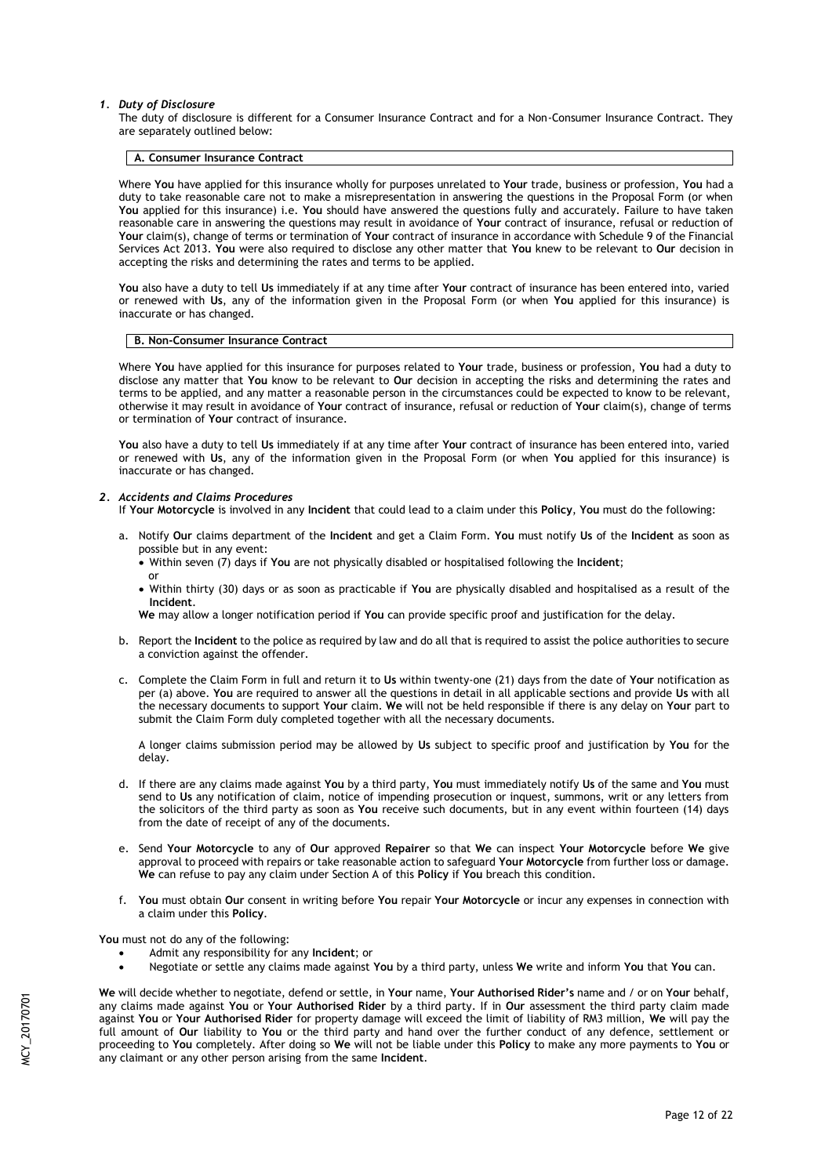#### *1. Duty of Disclosure*

The duty of disclosure is different for a Consumer Insurance Contract and for a Non-Consumer Insurance Contract. They are separately outlined below:

#### **A. Consumer Insurance Contract**

Where **You** have applied for this insurance wholly for purposes unrelated to **Your** trade, business or profession, **You** had a duty to take reasonable care not to make a misrepresentation in answering the questions in the Proposal Form (or when **You** applied for this insurance) i.e. **You** should have answered the questions fully and accurately. Failure to have taken reasonable care in answering the questions may result in avoidance of **Your** contract of insurance, refusal or reduction of **Your** claim(s), change of terms or termination of **Your** contract of insurance in accordance with Schedule 9 of the Financial Services Act 2013. **You** were also required to disclose any other matter that **You** knew to be relevant to **Our** decision in accepting the risks and determining the rates and terms to be applied.

**You** also have a duty to tell **Us** immediately if at any time after **Your** contract of insurance has been entered into, varied or renewed with **Us**, any of the information given in the Proposal Form (or when **You** applied for this insurance) is inaccurate or has changed.

#### **B. Non-Consumer Insurance Contract**

Where **You** have applied for this insurance for purposes related to **Your** trade, business or profession, **You** had a duty to disclose any matter that **You** know to be relevant to **Our** decision in accepting the risks and determining the rates and terms to be applied, and any matter a reasonable person in the circumstances could be expected to know to be relevant, otherwise it may result in avoidance of **Your** contract of insurance, refusal or reduction of **Your** claim(s), change of terms or termination of **Your** contract of insurance.

**You** also have a duty to tell **Us** immediately if at any time after **Your** contract of insurance has been entered into, varied or renewed with **Us**, any of the information given in the Proposal Form (or when **You** applied for this insurance) is inaccurate or has changed.

#### *2. Accidents and Claims Procedures*

- If **Your Motorcycle** is involved in any **Incident** that could lead to a claim under this **Policy**, **You** must do the following:
- a. Notify **Our** claims department of the **Incident** and get a Claim Form. **You** must notify **Us** of the **Incident** as soon as possible but in any event:
	- Within seven (7) days if **You** are not physically disabled or hospitalised following the **Incident**; or
	- Within thirty (30) days or as soon as practicable if **You** are physically disabled and hospitalised as a result of the **Incident**.

**We** may allow a longer notification period if **You** can provide specific proof and justification for the delay.

- b. Report the **Incident** to the police as required by law and do all that is required to assist the police authorities to secure a conviction against the offender.
- c. Complete the Claim Form in full and return it to **Us** within twenty-one (21) days from the date of **Your** notification as per (a) above. **You** are required to answer all the questions in detail in all applicable sections and provide **Us** with all the necessary documents to support **Your** claim. **We** will not be held responsible if there is any delay on **Your** part to submit the Claim Form duly completed together with all the necessary documents.

A longer claims submission period may be allowed by **Us** subject to specific proof and justification by **You** for the delay.

- d. If there are any claims made against **You** by a third party, **You** must immediately notify **Us** of the same and **You** must send to **Us** any notification of claim, notice of impending prosecution or inquest, summons, writ or any letters from the solicitors of the third party as soon as **You** receive such documents, but in any event within fourteen (14) days from the date of receipt of any of the documents.
- e. Send **Your Motorcycle** to any of **Our** approved **Repairer** so that **We** can inspect **Your Motorcycle** before **We** give approval to proceed with repairs or take reasonable action to safeguard **Your Motorcycle** from further loss or damage. **We** can refuse to pay any claim under Section A of this **Policy** if **You** breach this condition.
- f. **You** must obtain **Our** consent in writing before **You** repair **Your Motorcycle** or incur any expenses in connection with a claim under this **Policy**.

**You** must not do any of the following:

- Admit any responsibility for any **Incident**; or
- Negotiate or settle any claims made against **You** by a third party, unless **We** write and inform **You** that **You** can.

**We** will decide whether to negotiate, defend or settle, in **Your** name, **Your Authorised Rider's** name and / or on **Your** behalf, any claims made against **You** or **Your Authorised Rider** by a third party. If in **Our** assessment the third party claim made against **You** or **Your Authorised Rider** for property damage will exceed the limit of liability of RM3 million, **We** will pay the full amount of **Our** liability to **You** or the third party and hand over the further conduct of any defence, settlement or proceeding to **You** completely. After doing so **We** will not be liable under this **Policy** to make any more payments to **You** or any claimant or any other person arising from the same **Incident**.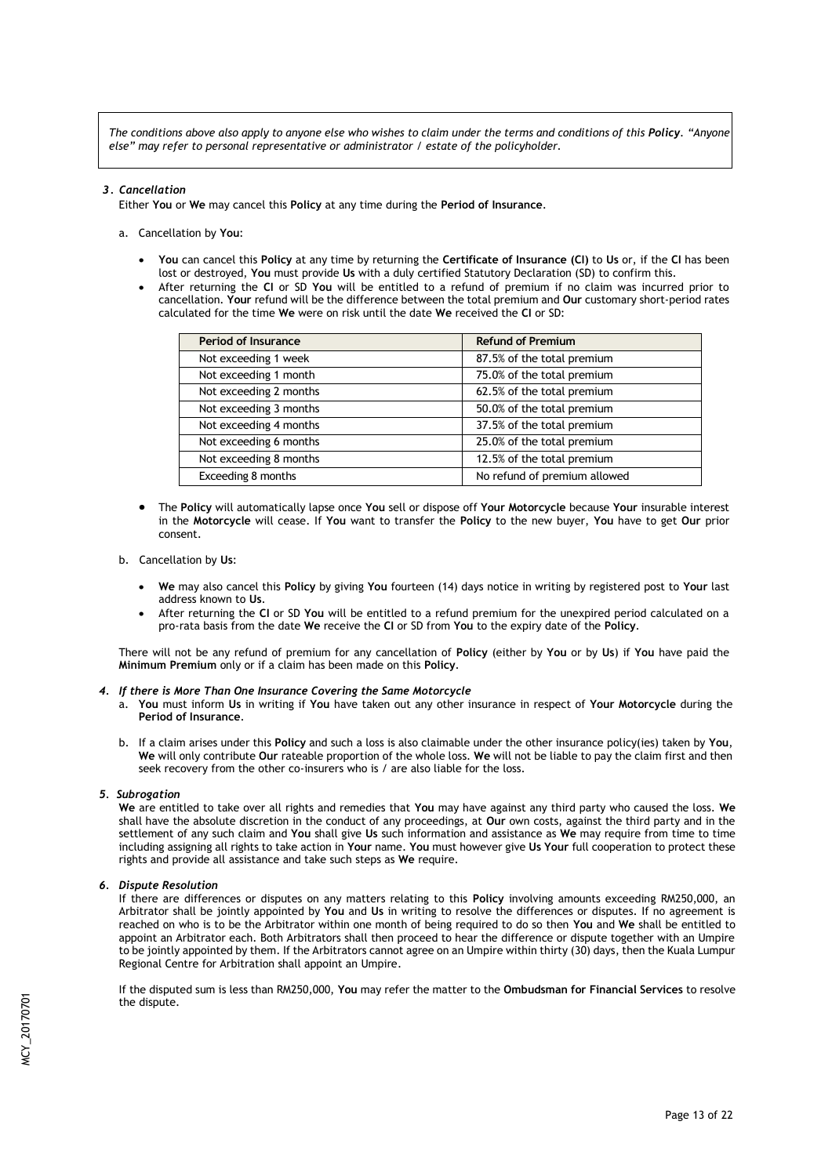*The conditions above also apply to anyone else who wishes to claim under the terms and conditions of this Policy. "Anyone else" may refer to personal representative or administrator / estate of the policyholder.* 

## *3. Cancellation*

Either **You** or **We** may cancel this **Policy** at any time during the **Period of Insurance**.

- a. Cancellation by **You**:
	- **You** can cancel this **Policy** at any time by returning the **Certificate of Insurance (CI)** to **Us** or, if the **CI** has been lost or destroyed, **You** must provide **Us** with a duly certified Statutory Declaration (SD) to confirm this.
	- After returning the **CI** or SD **You** will be entitled to a refund of premium if no claim was incurred prior to cancellation. **Your** refund will be the difference between the total premium and **Our** customary short-period rates calculated for the time **We** were on risk until the date **We** received the **CI** or SD:

| <b>Period of Insurance</b> | <b>Refund of Premium</b>     |  |
|----------------------------|------------------------------|--|
| Not exceeding 1 week       | 87.5% of the total premium   |  |
| Not exceeding 1 month      | 75.0% of the total premium   |  |
| Not exceeding 2 months     | 62.5% of the total premium   |  |
| Not exceeding 3 months     | 50.0% of the total premium   |  |
| Not exceeding 4 months     | 37.5% of the total premium   |  |
| Not exceeding 6 months     | 25.0% of the total premium   |  |
| Not exceeding 8 months     | 12.5% of the total premium   |  |
| Exceeding 8 months         | No refund of premium allowed |  |

 The **Policy** will automatically lapse once **You** sell or dispose off **Your Motorcycle** because **Your** insurable interest in the **Motorcycle** will cease. If **You** want to transfer the **Policy** to the new buyer, **You** have to get **Our** prior consent.

### b. Cancellation by **Us**:

- **We** may also cancel this **Policy** by giving **You** fourteen (14) days notice in writing by registered post to **Your** last address known to **Us**.
- After returning the **CI** or SD **You** will be entitled to a refund premium for the unexpired period calculated on a pro-rata basis from the date **We** receive the **CI** or SD from **You** to the expiry date of the **Policy**.

There will not be any refund of premium for any cancellation of **Policy** (either by **You** or by **Us**) if **You** have paid the **Minimum Premium** only or if a claim has been made on this **Policy**.

#### *4. If there is More Than One Insurance Covering the Same Motorcycle*

- a. **You** must inform **Us** in writing if **You** have taken out any other insurance in respect of **Your Motorcycle** during the **Period of Insurance**.
- b. If a claim arises under this **Policy** and such a loss is also claimable under the other insurance policy(ies) taken by **You**, **We** will only contribute **Our** rateable proportion of the whole loss. **We** will not be liable to pay the claim first and then seek recovery from the other co-insurers who is / are also liable for the loss.

### *5. Subrogation*

**We** are entitled to take over all rights and remedies that **You** may have against any third party who caused the loss. **We** shall have the absolute discretion in the conduct of any proceedings, at **Our** own costs, against the third party and in the settlement of any such claim and **You** shall give **Us** such information and assistance as **We** may require from time to time including assigning all rights to take action in **Your** name. **You** must however give **Us Your** full cooperation to protect these rights and provide all assistance and take such steps as **We** require.

#### *6. Dispute Resolution*

If there are differences or disputes on any matters relating to this **Policy** involving amounts exceeding RM250,000, an Arbitrator shall be jointly appointed by **You** and **Us** in writing to resolve the differences or disputes. If no agreement is reached on who is to be the Arbitrator within one month of being required to do so then **You** and **We** shall be entitled to appoint an Arbitrator each. Both Arbitrators shall then proceed to hear the difference or dispute together with an Umpire to be jointly appointed by them. If the Arbitrators cannot agree on an Umpire within thirty (30) days, then the Kuala Lumpur Regional Centre for Arbitration shall appoint an Umpire.

If the disputed sum is less than RM250,000, **You** may refer the matter to the **Ombudsman for Financial Services** to resolve the dispute.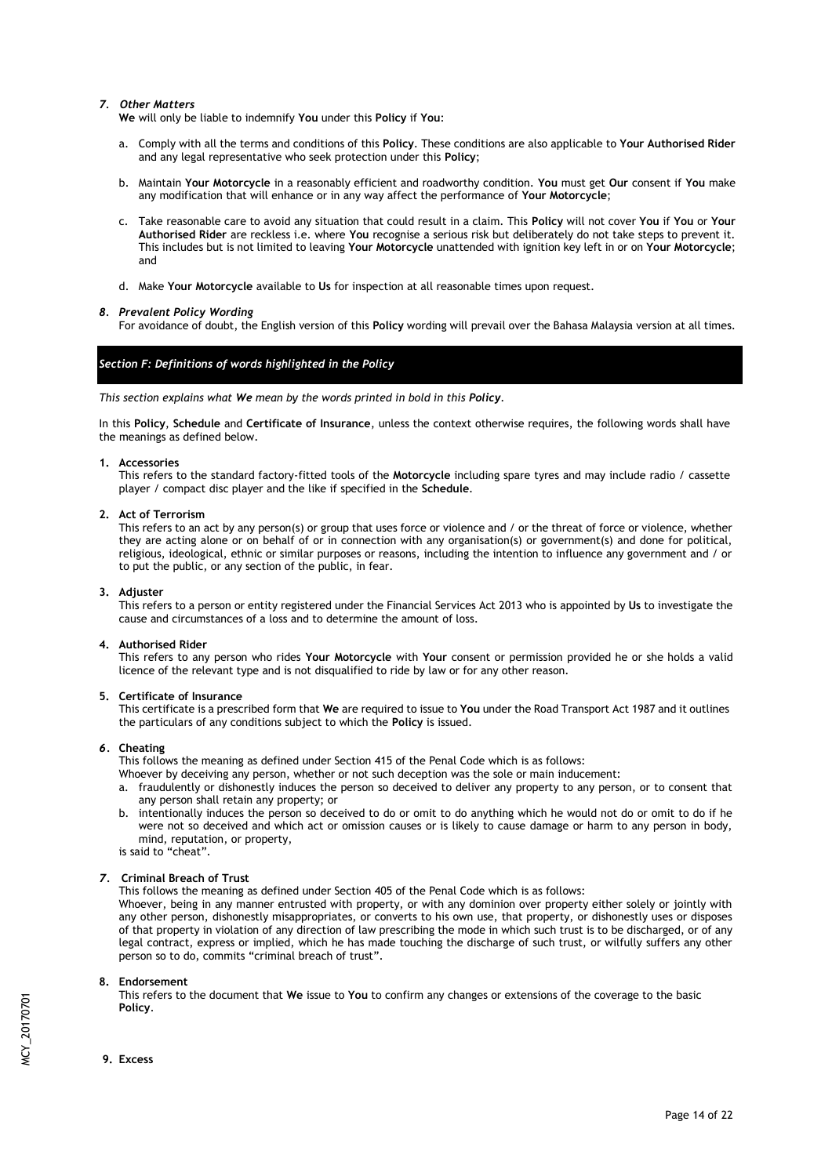# *7. Other Matters*

**We** will only be liable to indemnify **You** under this **Policy** if **You**:

- a. Comply with all the terms and conditions of this **Policy**. These conditions are also applicable to **Your Authorised Rider**  and any legal representative who seek protection under this **Policy**;
- b. Maintain **Your Motorcycle** in a reasonably efficient and roadworthy condition. **You** must get **Our** consent if **You** make any modification that will enhance or in any way affect the performance of **Your Motorcycle**;
- c. Take reasonable care to avoid any situation that could result in a claim. This **Policy** will not cover **You** if **You** or **Your Authorised Rider** are reckless i.e. where **You** recognise a serious risk but deliberately do not take steps to prevent it. This includes but is not limited to leaving **Your Motorcycle** unattended with ignition key left in or on **Your Motorcycle**; and
- d. Make **Your Motorcycle** available to **Us** for inspection at all reasonable times upon request.

# *8. Prevalent Policy Wording*

For avoidance of doubt, the English version of this **Policy** wording will prevail over the Bahasa Malaysia version at all times.

# *Section F: Definitions of words highlighted in the Policy*

*This section explains what We mean by the words printed in bold in this Policy.*

In this **Policy**, **Schedule** and **Certificate of Insurance**, unless the context otherwise requires, the following words shall have the meanings as defined below.

### **1. Accessories**

This refers to the standard factory-fitted tools of the **Motorcycle** including spare tyres and may include radio / cassette player / compact disc player and the like if specified in the **Schedule**.

### **2. Act of Terrorism**

This refers to an act by any person(s) or group that uses force or violence and / or the threat of force or violence, whether they are acting alone or on behalf of or in connection with any organisation(s) or government(s) and done for political, religious, ideological, ethnic or similar purposes or reasons, including the intention to influence any government and / or to put the public, or any section of the public, in fear.

#### **3. Adjuster**

This refers to a person or entity registered under the Financial Services Act 2013 who is appointed by **Us** to investigate the cause and circumstances of a loss and to determine the amount of loss.

### **4. Authorised Rider**

This refers to any person who rides **Your Motorcycle** with **Your** consent or permission provided he or she holds a valid licence of the relevant type and is not disqualified to ride by law or for any other reason.

### **5. Certificate of Insurance**

This certificate is a prescribed form that **We** are required to issue to **You** under the Road Transport Act 1987 and it outlines the particulars of any conditions subject to which the **Policy** is issued.

### *6.* **Cheating**

This follows the meaning as defined under Section 415 of the Penal Code which is as follows:

- Whoever by deceiving any person, whether or not such deception was the sole or main inducement:
- a. fraudulently or dishonestly induces the person so deceived to deliver any property to any person, or to consent that any person shall retain any property; or
- b. intentionally induces the person so deceived to do or omit to do anything which he would not do or omit to do if he were not so deceived and which act or omission causes or is likely to cause damage or harm to any person in body, mind, reputation, or property, is said to "cheat".

# *7.* **Criminal Breach of Trust**

This follows the meaning as defined under Section 405 of the Penal Code which is as follows:

Whoever, being in any manner entrusted with property, or with any dominion over property either solely or jointly with any other person, dishonestly misappropriates, or converts to his own use, that property, or dishonestly uses or disposes of that property in violation of any direction of law prescribing the mode in which such trust is to be discharged, or of any legal contract, express or implied, which he has made touching the discharge of such trust, or wilfully suffers any other person so to do, commits "criminal breach of trust".

### **8. Endorsement**

This refers to the document that **We** issue to **You** to confirm any changes or extensions of the coverage to the basic **Policy**.

**9. Excess**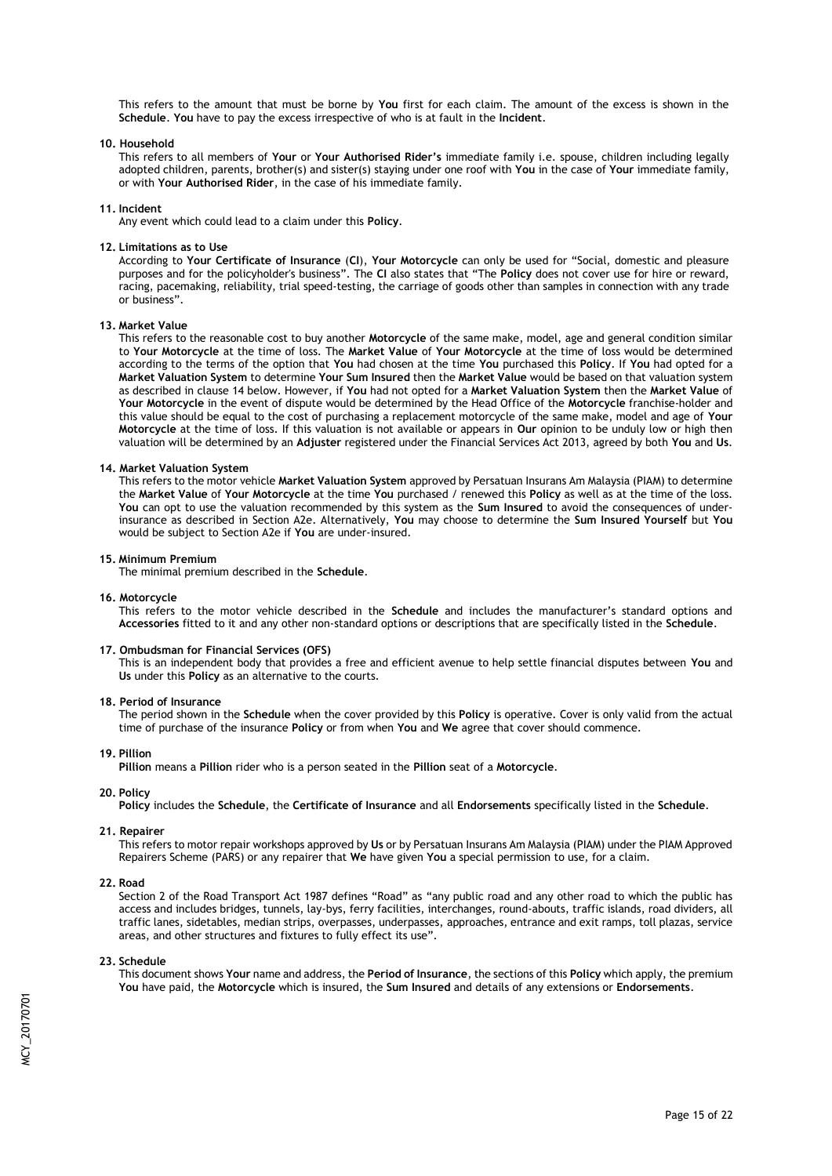This refers to the amount that must be borne by **You** first for each claim. The amount of the excess is shown in the **Schedule**. **You** have to pay the excess irrespective of who is at fault in the **Incident**.

#### **10. Household**

This refers to all members of **Your** or **Your Authorised Rider's** immediate family i.e. spouse, children including legally adopted children, parents, brother(s) and sister(s) staying under one roof with **You** in the case of **Your** immediate family, or with **Your Authorised Rider**, in the case of his immediate family.

#### **11. Incident**

Any event which could lead to a claim under this **Policy**.

#### **12. Limitations as to Use**

According to **Your Certificate of Insurance** (**CI**), **Your Motorcycle** can only be used for "Social, domestic and pleasure purposes and for the policyholder's business". The **CI** also states that "The **Policy** does not cover use for hire or reward, racing, pacemaking, reliability, trial speed-testing, the carriage of goods other than samples in connection with any trade or business".

#### **13. Market Value**

This refers to the reasonable cost to buy another **Motorcycle** of the same make, model, age and general condition similar to **Your Motorcycle** at the time of loss. The **Market Value** of **Your Motorcycle** at the time of loss would be determined according to the terms of the option that **You** had chosen at the time **You** purchased this **Policy**. If **You** had opted for a **Market Valuation System** to determine **Your Sum Insured** then the **Market Value** would be based on that valuation system as described in clause 14 below. However, if **You** had not opted for a **Market Valuation System** then the **Market Value** of **Your Motorcycle** in the event of dispute would be determined by the Head Office of the **Motorcycle** franchise-holder and this value should be equal to the cost of purchasing a replacement motorcycle of the same make, model and age of **Your Motorcycle** at the time of loss. If this valuation is not available or appears in **Our** opinion to be unduly low or high then valuation will be determined by an **Adjuster** registered under the Financial Services Act 2013, agreed by both **You** and **Us**.

#### **14. Market Valuation System**

This refers to the motor vehicle **Market Valuation System** approved by Persatuan Insurans Am Malaysia (PIAM) to determine the **Market Value** of **Your Motorcycle** at the time **You** purchased / renewed this **Policy** as well as at the time of the loss. **You** can opt to use the valuation recommended by this system as the **Sum Insured** to avoid the consequences of underinsurance as described in Section A2e. Alternatively, **You** may choose to determine the **Sum Insured Yourself** but **You** would be subject to Section A2e if **You** are under-insured.

#### **15. Minimum Premium**

The minimal premium described in the **Schedule**.

#### **16. Motorcycle**

This refers to the motor vehicle described in the **Schedule** and includes the manufacturer's standard options and **Accessories** fitted to it and any other non-standard options or descriptions that are specifically listed in the **Schedule**.

#### **17. Ombudsman for Financial Services (OFS)**

This is an independent body that provides a free and efficient avenue to help settle financial disputes between **You** and **Us** under this **Policy** as an alternative to the courts.

#### **18. Period of Insurance**

The period shown in the **Schedule** when the cover provided by this **Policy** is operative. Cover is only valid from the actual time of purchase of the insurance **Policy** or from when **You** and **We** agree that cover should commence.

#### **19. Pillion**

**Pillion** means a **Pillion** rider who is a person seated in the **Pillion** seat of a **Motorcycle**.

#### **20. Policy**

**Policy** includes the **Schedule**, the **Certificate of Insurance** and all **Endorsements** specifically listed in the **Schedule**.

#### **21. Repairer**

This refers to motor repair workshops approved by **Us** or by Persatuan Insurans Am Malaysia (PIAM) under the PIAM Approved Repairers Scheme (PARS) or any repairer that **We** have given **You** a special permission to use, for a claim.

#### **22. Road**

Section 2 of the Road Transport Act 1987 defines "Road" as "any public road and any other road to which the public has access and includes bridges, tunnels, lay-bys, ferry facilities, interchanges, round-abouts, traffic islands, road dividers, all traffic lanes, sidetables, median strips, overpasses, underpasses, approaches, entrance and exit ramps, toll plazas, service areas, and other structures and fixtures to fully effect its use".

#### **23. Schedule**

This document shows **Your** name and address, the **Period of Insurance**, the sections of this **Policy** which apply, the premium **You** have paid, the **Motorcycle** which is insured, the **Sum Insured** and details of any extensions or **Endorsements**.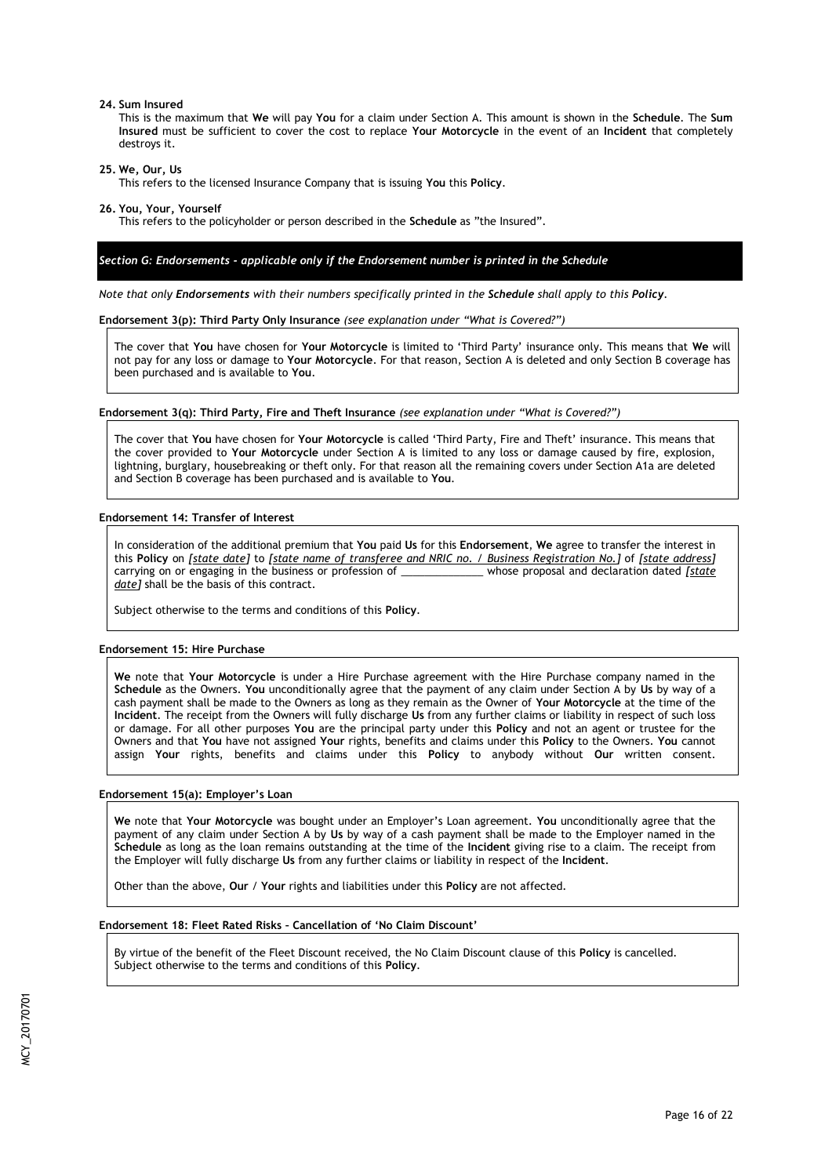#### **24. Sum Insured**

This is the maximum that **We** will pay **You** for a claim under Section A. This amount is shown in the **Schedule**. The **Sum Insured** must be sufficient to cover the cost to replace **Your Motorcycle** in the event of an **Incident** that completely destroys it.

**25. We, Our, Us** 

This refers to the licensed Insurance Company that is issuing **You** this **Policy**.

**26. You, Your, Yourself** 

This refers to the policyholder or person described in the **Schedule** as "the Insured".

## *Section G: Endorsements - applicable only if the Endorsement number is printed in the Schedule*

*Note that only Endorsements with their numbers specifically printed in the Schedule shall apply to this Policy.*

#### **Endorsement 3(p): Third Party Only Insurance** *(see explanation under "What is Covered?")*

The cover that **You** have chosen for **Your Motorcycle** is limited to 'Third Party' insurance only. This means that **We** will not pay for any loss or damage to **Your Motorcycle**. For that reason, Section A is deleted and only Section B coverage has been purchased and is available to **You**.

#### **Endorsement 3(q): Third Party, Fire and Theft Insurance** *(see explanation under "What is Covered?")*

The cover that **You** have chosen for **Your Motorcycle** is called 'Third Party, Fire and Theft' insurance. This means that the cover provided to **Your Motorcycle** under Section A is limited to any loss or damage caused by fire, explosion, lightning, burglary, housebreaking or theft only. For that reason all the remaining covers under Section A1a are deleted and Section B coverage has been purchased and is available to **You**.

### **Endorsement 14: Transfer of Interest**

In consideration of the additional premium that **You** paid **Us** for this **Endorsement**, **We** agree to transfer the interest in this **Policy** on *[state date]* to *[state name of transferee and NRIC no. / Business Registration No.]* of *[state address]* carrying on or engaging in the business or profession of  $\_\_$ *date]* shall be the basis of this contract.

Subject otherwise to the terms and conditions of this **Policy**.

#### **Endorsement 15: Hire Purchase**

**We** note that **Your Motorcycle** is under a Hire Purchase agreement with the Hire Purchase company named in the **Schedule** as the Owners. **You** unconditionally agree that the payment of any claim under Section A by **Us** by way of a cash payment shall be made to the Owners as long as they remain as the Owner of **Your Motorcycle** at the time of the **Incident**. The receipt from the Owners will fully discharge **Us** from any further claims or liability in respect of such loss or damage. For all other purposes **You** are the principal party under this **Policy** and not an agent or trustee for the Owners and that **You** have not assigned **Your** rights, benefits and claims under this **Policy** to the Owners. **You** cannot assign **Your** rights, benefits and claims under this **Policy** to anybody without **Our** written consent.

#### **Endorsement 15(a): Employer's Loan**

**We** note that **Your Motorcycle** was bought under an Employer's Loan agreement. **You** unconditionally agree that the payment of any claim under Section A by **Us** by way of a cash payment shall be made to the Employer named in the **Schedule** as long as the loan remains outstanding at the time of the **Incident** giving rise to a claim. The receipt from the Employer will fully discharge **Us** from any further claims or liability in respect of the **Incident**.

Other than the above, **Our** / **Your** rights and liabilities under this **Policy** are not affected.

## **Endorsement 18: Fleet Rated Risks – Cancellation of 'No Claim Discount'**

By virtue of the benefit of the Fleet Discount received, the No Claim Discount clause of this **Policy** is cancelled. Subject otherwise to the terms and conditions of this **Policy**.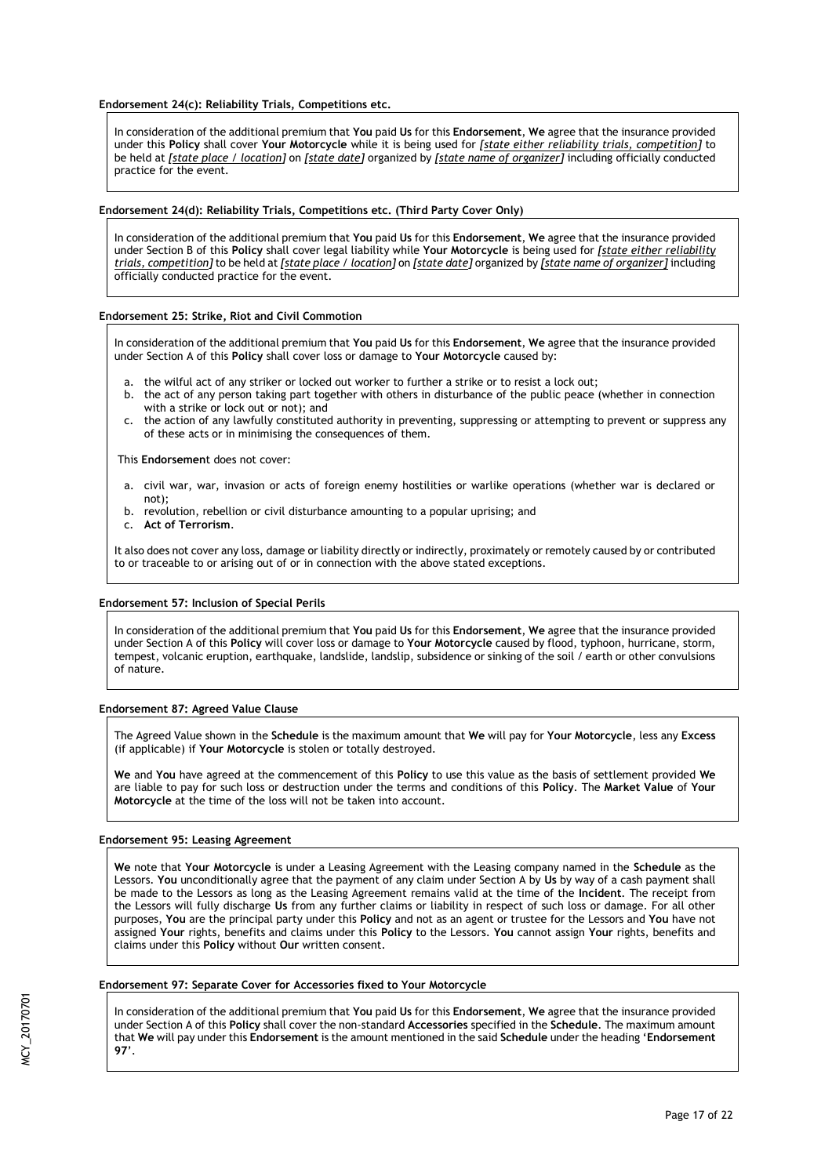**Endorsement 24(c): Reliability Trials, Competitions etc.** 

In consideration of the additional premium that **You** paid **Us** for this **Endorsement**, **We** agree that the insurance provided under this **Policy** shall cover **Your Motorcycle** while it is being used for *[state either reliability trials, competition]* to be held at *[state place / location]* on *[state date]* organized by *[state name of organizer]* including officially conducted practice for the event.

## **Endorsement 24(d): Reliability Trials, Competitions etc. (Third Party Cover Only)**

In consideration of the additional premium that **You** paid **Us** for this **Endorsement**, **We** agree that the insurance provided under Section B of this **Policy** shall cover legal liability while **Your Motorcycle** is being used for *[state either reliability trials, competition]* to be held at *[state place / location]* on *[state date]* organized by *[state name of organizer]* including officially conducted practice for the event.

### **Endorsement 25: Strike, Riot and Civil Commotion**

In consideration of the additional premium that **You** paid **Us** for this **Endorsement**, **We** agree that the insurance provided under Section A of this **Policy** shall cover loss or damage to **Your Motorcycle** caused by:

- a. the wilful act of any striker or locked out worker to further a strike or to resist a lock out;
- b. the act of any person taking part together with others in disturbance of the public peace (whether in connection with a strike or lock out or not); and
- c. the action of any lawfully constituted authority in preventing, suppressing or attempting to prevent or suppress any of these acts or in minimising the consequences of them.

This **Endorsemen**t does not cover:

- a. civil war, war, invasion or acts of foreign enemy hostilities or warlike operations (whether war is declared or not);
- b. revolution, rebellion or civil disturbance amounting to a popular uprising; and
- c. **Act of Terrorism**.

It also does not cover any loss, damage or liability directly or indirectly, proximately or remotely caused by or contributed to or traceable to or arising out of or in connection with the above stated exceptions.

### **Endorsement 57: Inclusion of Special Perils**

In consideration of the additional premium that **You** paid **Us** for this **Endorsement**, **We** agree that the insurance provided under Section A of this **Policy** will cover loss or damage to **Your Motorcycle** caused by flood, typhoon, hurricane, storm, tempest, volcanic eruption, earthquake, landslide, landslip, subsidence or sinking of the soil / earth or other convulsions of nature.

# **Endorsement 87: Agreed Value Clause**

The Agreed Value shown in the **Schedule** is the maximum amount that **We** will pay for **Your Motorcycle**, less any **Excess** (if applicable) if **Your Motorcycle** is stolen or totally destroyed.

**We** and **You** have agreed at the commencement of this **Policy** to use this value as the basis of settlement provided **We** are liable to pay for such loss or destruction under the terms and conditions of this **Policy**. The **Market Value** of **Your Motorcycle** at the time of the loss will not be taken into account.

### **Endorsement 95: Leasing Agreement**

**We** note that **Your Motorcycle** is under a Leasing Agreement with the Leasing company named in the **Schedule** as the Lessors. **You** unconditionally agree that the payment of any claim under Section A by **Us** by way of a cash payment shall be made to the Lessors as long as the Leasing Agreement remains valid at the time of the **Incident**. The receipt from the Lessors will fully discharge **Us** from any further claims or liability in respect of such loss or damage. For all other purposes, **You** are the principal party under this **Policy** and not as an agent or trustee for the Lessors and **You** have not assigned **Your** rights, benefits and claims under this **Policy** to the Lessors. **You** cannot assign **Your** rights, benefits and claims under this **Policy** without **Our** written consent.

# **Endorsement 97: Separate Cover for Accessories fixed to Your Motorcycle**

In consideration of the additional premium that **You** paid **Us** for this **Endorsement**, **We** agree that the insurance provided under Section A of this **Policy** shall cover the non-standard **Accessories** specified in the **Schedule**. The maximum amount that **We** will pay under this **Endorsement** is the amount mentioned in the said **Schedule** under the heading '**Endorsement 97**'.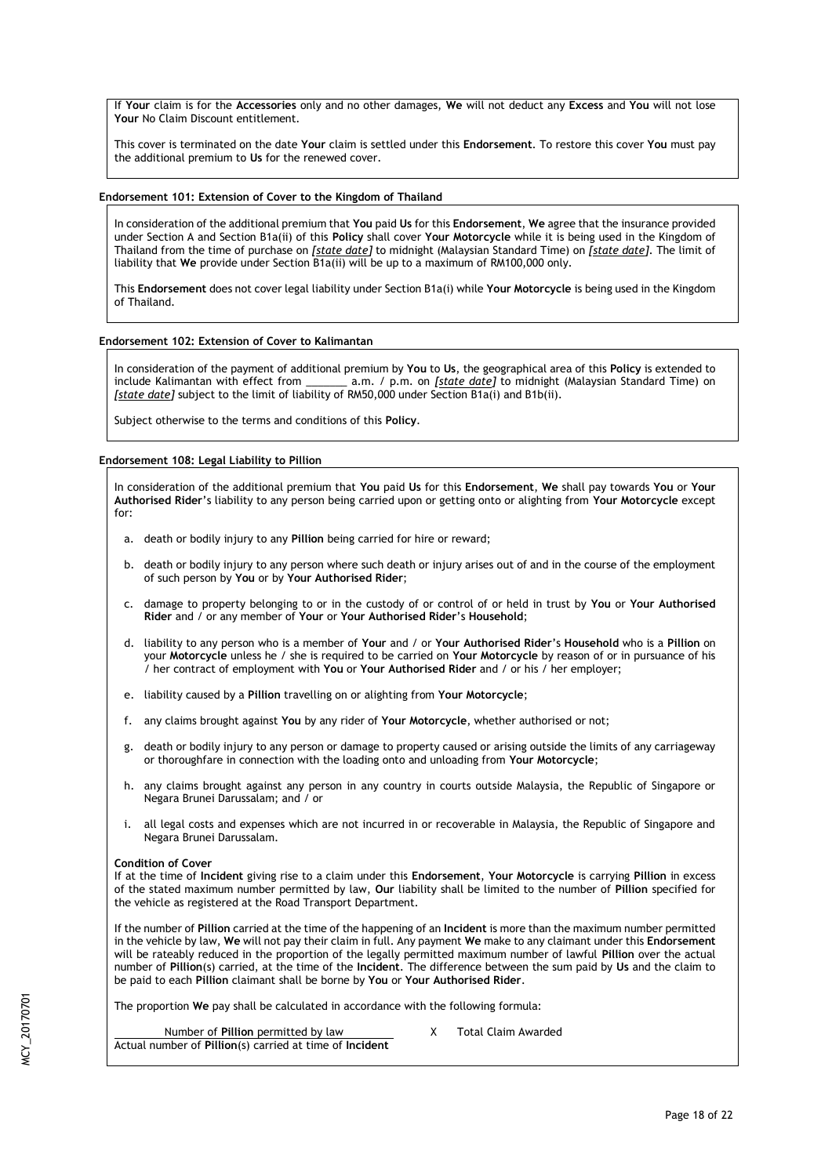If **Your** claim is for the **Accessories** only and no other damages, **We** will not deduct any **Excess** and **You** will not lose **Your** No Claim Discount entitlement.

This cover is terminated on the date **Your** claim is settled under this **Endorsement**. To restore this cover **You** must pay the additional premium to **Us** for the renewed cover.

# **Endorsement 101: Extension of Cover to the Kingdom of Thailand**

In consideration of the additional premium that **You** paid **Us** for this **Endorsement**, **We** agree that the insurance provided under Section A and Section B1a(ii) of this **Policy** shall cover **Your Motorcycle** while it is being used in the Kingdom of Thailand from the time of purchase on *[state date]* to midnight (Malaysian Standard Time) on *[state date]*. The limit of liability that **We** provide under Section B1a(ii) will be up to a maximum of RM100,000 only.

This **Endorsement** does not cover legal liability under Section B1a(i) while **Your Motorcycle** is being used in the Kingdom of Thailand.

# **Endorsement 102: Extension of Cover to Kalimantan**

In consideration of the payment of additional premium by **You** to **Us**, the geographical area of this **Policy** is extended to include Kalimantan with effect from \_\_\_\_\_\_\_ a.m. / p.m. on *[state date]* to midnight (Malaysian Standard Time) on *[state date]* subject to the limit of liability of RM50,000 under Section B1a(i) and B1b(ii).

Subject otherwise to the terms and conditions of this **Policy**.

# **Endorsement 108: Legal Liability to Pillion**

In consideration of the additional premium that **You** paid **Us** for this **Endorsement**, **We** shall pay towards **You** or **Your Authorised Rider**'s liability to any person being carried upon or getting onto or alighting from **Your Motorcycle** except for:

- a. death or bodily injury to any **Pillion** being carried for hire or reward;
- b. death or bodily injury to any person where such death or injury arises out of and in the course of the employment of such person by **You** or by **Your Authorised Rider**;
- c. damage to property belonging to or in the custody of or control of or held in trust by **You** or **Your Authorised Rider** and / or any member of **Your** or **Your Authorised Rider**'s **Household**;
- d. liability to any person who is a member of **Your** and / or **Your Authorised Rider**'s **Household** who is a **Pillion** on your **Motorcycle** unless he / she is required to be carried on **Your Motorcycle** by reason of or in pursuance of his / her contract of employment with **You** or **Your Authorised Rider** and / or his / her employer;
- e. liability caused by a **Pillion** travelling on or alighting from **Your Motorcycle**;
- f. any claims brought against **You** by any rider of **Your Motorcycle**, whether authorised or not;
- g. death or bodily injury to any person or damage to property caused or arising outside the limits of any carriageway or thoroughfare in connection with the loading onto and unloading from **Your Motorcycle**;
- h. any claims brought against any person in any country in courts outside Malaysia, the Republic of Singapore or Negara Brunei Darussalam; and / or
- i. all legal costs and expenses which are not incurred in or recoverable in Malaysia, the Republic of Singapore and Negara Brunei Darussalam.

# **Condition of Cover**

If at the time of **Incident** giving rise to a claim under this **Endorsement**, **Your Motorcycle** is carrying **Pillion** in excess of the stated maximum number permitted by law, **Our** liability shall be limited to the number of **Pillion** specified for the vehicle as registered at the Road Transport Department.

If the number of **Pillion** carried at the time of the happening of an **Incident** is more than the maximum number permitted in the vehicle by law, **We** will not pay their claim in full. Any payment **We** make to any claimant under this **Endorsement** will be rateably reduced in the proportion of the legally permitted maximum number of lawful **Pillion** over the actual number of **Pillion**(s) carried, at the time of the **Incident**. The difference between the sum paid by **Us** and the claim to be paid to each **Pillion** claimant shall be borne by **You** or **Your Authorised Rider**.

The proportion **We** pay shall be calculated in accordance with the following formula:

Number of **Pillion** permitted by law X Total Claim Awarded Actual number of **Pillion**(s) carried at time of **Incident**

MCY\_20170701

ACY 2017070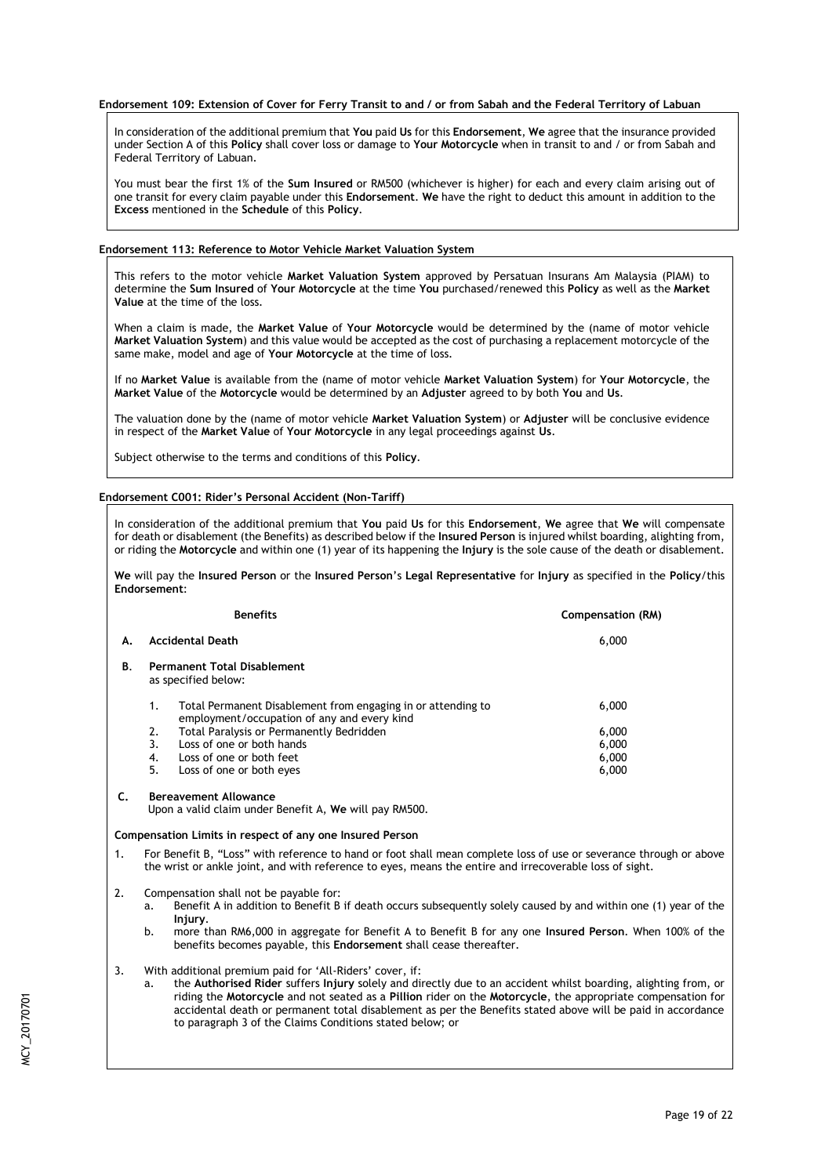## **Endorsement 109: Extension of Cover for Ferry Transit to and / or from Sabah and the Federal Territory of Labuan**

In consideration of the additional premium that **You** paid **Us** for this **Endorsement**, **We** agree that the insurance provided under Section A of this **Policy** shall cover loss or damage to **Your Motorcycle** when in transit to and / or from Sabah and Federal Territory of Labuan.

You must bear the first 1% of the **Sum Insured** or RM500 (whichever is higher) for each and every claim arising out of one transit for every claim payable under this **Endorsement**. **We** have the right to deduct this amount in addition to the **Excess** mentioned in the **Schedule** of this **Policy**.

# **Endorsement 113: Reference to Motor Vehicle Market Valuation System**

This refers to the motor vehicle **Market Valuation System** approved by Persatuan Insurans Am Malaysia (PIAM) to determine the **Sum Insured** of **Your Motorcycle** at the time **You** purchased/renewed this **Policy** as well as the **Market Value** at the time of the loss.

When a claim is made, the **Market Value** of **Your Motorcycle** would be determined by the (name of motor vehicle **Market Valuation System**) and this value would be accepted as the cost of purchasing a replacement motorcycle of the same make, model and age of **Your Motorcycle** at the time of loss.

If no **Market Value** is available from the (name of motor vehicle **Market Valuation System**) for **Your Motorcycle**, the **Market Value** of the **Motorcycle** would be determined by an **Adjuster** agreed to by both **You** and **Us**.

The valuation done by the (name of motor vehicle **Market Valuation System**) or **Adjuster** will be conclusive evidence in respect of the **Market Value** of **Your Motorcycle** in any legal proceedings against **Us**.

Subject otherwise to the terms and conditions of this **Policy**.

# **Endorsement C001: Rider's Personal Accident (Non-Tariff)**

In consideration of the additional premium that **You** paid **Us** for this **Endorsement**, **We** agree that **We** will compensate for death or disablement (the Benefits) as described below if the **Insured Person** is injured whilst boarding, alighting from, or riding the **Motorcycle** and within one (1) year of its happening the **Injury** is the sole cause of the death or disablement.

**We** will pay the **Insured Person** or the **Insured Person**'s **Legal Representative** for **Injury** as specified in the **Policy**/this **Endorsement**:

|    | <b>Benefits</b>                                                                                                   | Compensation (RM) |
|----|-------------------------------------------------------------------------------------------------------------------|-------------------|
| Α. | <b>Accidental Death</b>                                                                                           | 6,000             |
| В. | <b>Permanent Total Disablement</b><br>as specified below:                                                         |                   |
|    | Total Permanent Disablement from engaging in or attending to<br>1.<br>employment/occupation of any and every kind | 6.000             |
|    | Total Paralysis or Permanently Bedridden<br>2.                                                                    | 6,000             |
|    | 3.<br>Loss of one or both hands                                                                                   | 6,000             |
|    | Loss of one or both feet<br>4.                                                                                    | 6,000             |
|    | 5.<br>Loss of one or both eyes                                                                                    | 6,000             |

# **C. Bereavement Allowance**

Upon a valid claim under Benefit A, **We** will pay RM500.

### **Compensation Limits in respect of any one Insured Person**

- 1. For Benefit B, "Loss" with reference to hand or foot shall mean complete loss of use or severance through or above the wrist or ankle joint, and with reference to eyes, means the entire and irrecoverable loss of sight.
- 2. Compensation shall not be payable for:
	- a. Benefit A in addition to Benefit B if death occurs subsequently solely caused by and within one (1) year of the **Injury**.
	- b. more than RM6,000 in aggregate for Benefit A to Benefit B for any one **Insured Person**. When 100% of the benefits becomes payable, this **Endorsement** shall cease thereafter.
- 3. With additional premium paid for 'All-Riders' cover, if:
	- a. the **Authorised Rider** suffers **Injury** solely and directly due to an accident whilst boarding, alighting from, or riding the **Motorcycle** and not seated as a **Pillion** rider on the **Motorcycle**, the appropriate compensation for accidental death or permanent total disablement as per the Benefits stated above will be paid in accordance to paragraph 3 of the Claims Conditions stated below; or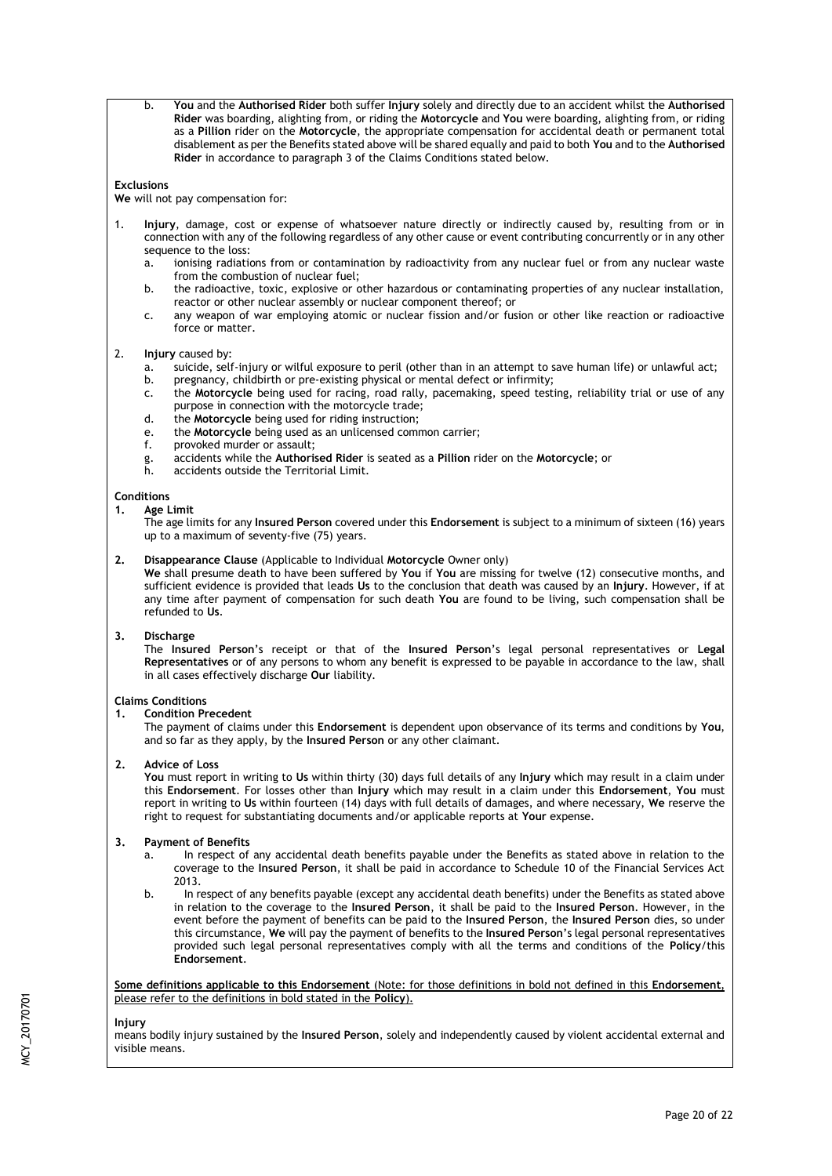b. **You** and the **Authorised Rider** both suffer **Injury** solely and directly due to an accident whilst the **Authorised Rider** was boarding, alighting from, or riding the **Motorcycle** and **You** were boarding, alighting from, or riding as a **Pillion** rider on the **Motorcycle**, the appropriate compensation for accidental death or permanent total disablement as per the Benefits stated above will be shared equally and paid to both **You** and to the **Authorised Rider** in accordance to paragraph 3 of the Claims Conditions stated below.

## **Exclusions**

**We** will not pay compensation for:

- 1. **Injury**, damage, cost or expense of whatsoever nature directly or indirectly caused by, resulting from or in connection with any of the following regardless of any other cause or event contributing concurrently or in any other sequence to the loss:
	- a. ionising radiations from or contamination by radioactivity from any nuclear fuel or from any nuclear waste from the combustion of nuclear fuel;
	- b. the radioactive, toxic, explosive or other hazardous or contaminating properties of any nuclear installation, reactor or other nuclear assembly or nuclear component thereof; or
	- c. any weapon of war employing atomic or nuclear fission and/or fusion or other like reaction or radioactive force or matter.

### 2. **Injury** caused by:

- a. suicide, self-injury or wilful exposure to peril (other than in an attempt to save human life) or unlawful act;<br>b. sure present to thild birth or pre-existing physical or mental defect or infirmity:
- pregnancy, childbirth or pre-existing physical or mental defect or infirmity;
- c. the **Motorcycle** being used for racing, road rally, pacemaking, speed testing, reliability trial or use of any purpose in connection with the motorcycle trade;
- d. the **Motorcycle** being used for riding instruction;
- e. the **Motorcycle** being used as an unlicensed common carrier;
- f. provoked murder or assault;
- g. accidents while the **Authorised Rider** is seated as a **Pillion** rider on the **Motorcycle**; or
- accidents outside the Territorial Limit.
- **Conditions**

# **1. Age Limit**

The age limits for any **Insured Person** covered under this **Endorsement** is subject to a minimum of sixteen (16) years up to a maximum of seventy-five (75) years.

## **2. Disappearance Clause** (Applicable to Individual **Motorcycle** Owner only)

**We** shall presume death to have been suffered by **You** if **You** are missing for twelve (12) consecutive months, and sufficient evidence is provided that leads **Us** to the conclusion that death was caused by an **Injury**. However, if at any time after payment of compensation for such death **You** are found to be living, such compensation shall be refunded to **Us**.

# **3. Discharge**

The **Insured Person**'s receipt or that of the **Insured Person**'s legal personal representatives or **Legal Representatives** or of any persons to whom any benefit is expressed to be payable in accordance to the law, shall in all cases effectively discharge **Our** liability.

### **Claims Conditions**

### **1. Condition Precedent**

The payment of claims under this **Endorsement** is dependent upon observance of its terms and conditions by **You**, and so far as they apply, by the **Insured Person** or any other claimant.

## **2. Advice of Loss**

**You** must report in writing to **Us** within thirty (30) days full details of any **Injury** which may result in a claim under this **Endorsement**. For losses other than **Injury** which may result in a claim under this **Endorsement**, **You** must report in writing to **Us** within fourteen (14) days with full details of damages, and where necessary, **We** reserve the right to request for substantiating documents and/or applicable reports at **Your** expense.

### **3. Payment of Benefits**

- a. In respect of any accidental death benefits payable under the Benefits as stated above in relation to the coverage to the **Insured Person**, it shall be paid in accordance to Schedule 10 of the Financial Services Act 2013.
- b. In respect of any benefits payable (except any accidental death benefits) under the Benefits as stated above in relation to the coverage to the **Insured Person**, it shall be paid to the **Insured Person**. However, in the event before the payment of benefits can be paid to the **Insured Person**, the **Insured Person** dies, so under this circumstance, **We** will pay the payment of benefits to the **Insured Person**'s legal personal representatives provided such legal personal representatives comply with all the terms and conditions of the **Policy**/this **Endorsement**.

**Some definitions applicable to this Endorsement** (Note: for those definitions in bold not defined in this **Endorsement**, please refer to the definitions in bold stated in the **Policy**).

#### **Injury**

means bodily injury sustained by the **Insured Person**, solely and independently caused by violent accidental external and visible means.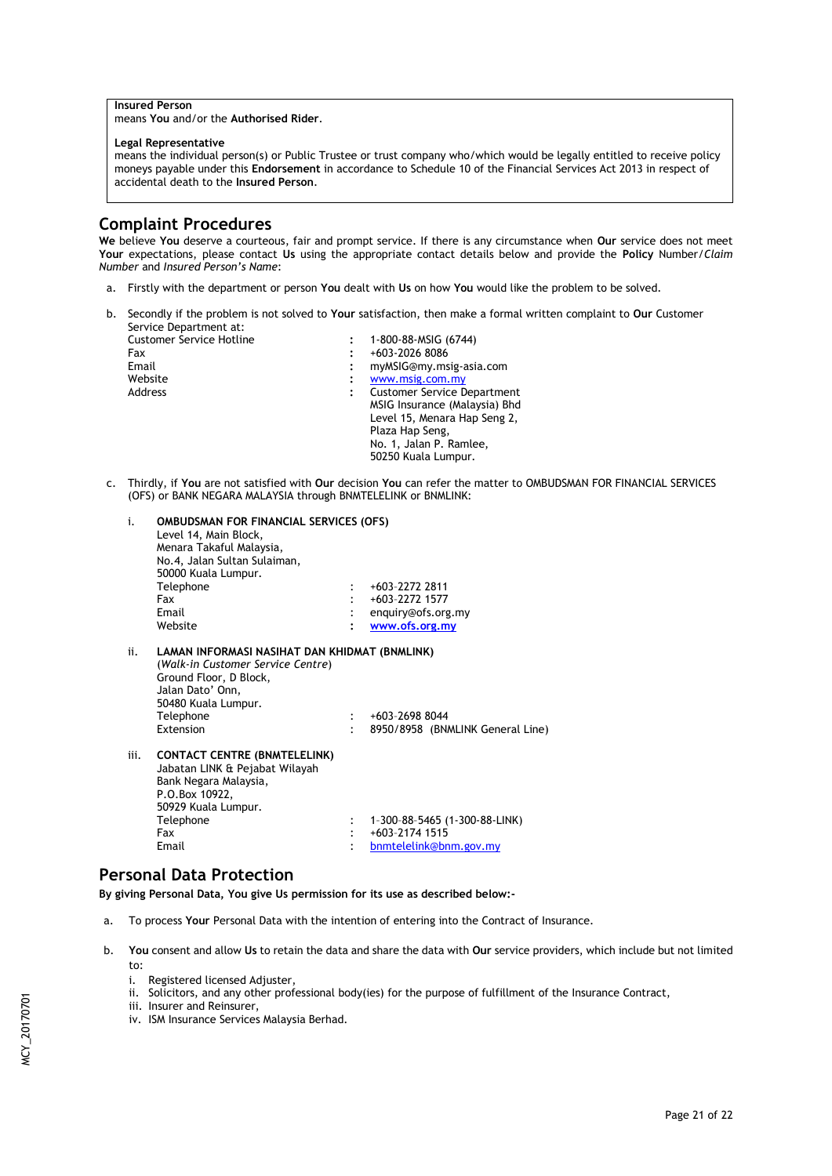# **Insured Person**

means **You** and/or the **Authorised Rider**.

#### **Legal Representative**

means the individual person(s) or Public Trustee or trust company who/which would be legally entitled to receive policy moneys payable under this **Endorsement** in accordance to Schedule 10 of the Financial Services Act 2013 in respect of accidental death to the **Insured Person**.

# **Complaint Procedures**

**We** believe **You** deserve a courteous, fair and prompt service. If there is any circumstance when **Our** service does not meet **Your** expectations, please contact **Us** using the appropriate contact details below and provide the **Policy** Number/*Claim Number* and *Insured Person's Name*:

- a. Firstly with the department or person **You** dealt with **Us** on how **You** would like the problem to be solved.
- b. Secondly if the problem is not solved to **Your** satisfaction, then make a formal written complaint to **Our** Customer Service Department at:

| <b>Customer Service Hotline</b> | 1-800-88-MSIG (6744)               |
|---------------------------------|------------------------------------|
| Fax                             | +603-2026 8086                     |
| Email                           | myMSIG@my.msig-asia.com            |
| Website                         | www.msig.com.my                    |
| Address                         | <b>Customer Service Department</b> |
|                                 | MSIG Insurance (Malaysia) Bhd      |
|                                 | Level 15, Menara Hap Seng 2,       |
|                                 | Plaza Hap Seng,                    |
|                                 | No. 1, Jalan P. Ramlee,            |
|                                 | 50250 Kuala Lumpur.                |

c. Thirdly, if **You** are not satisfied with **Our** decision **You** can refer the matter to OMBUDSMAN FOR FINANCIAL SERVICES (OFS) or BANK NEGARA MALAYSIA through BNMTELELINK or BNMLINK:

| i.   | <b>OMBUDSMAN FOR FINANCIAL SERVICES (OFS)</b><br>Level 14, Main Block,<br>Menara Takaful Malaysia,<br>No.4, Jalan Sultan Sulaiman,<br>50000 Kuala Lumpur.                         |                            |                                                    |
|------|-----------------------------------------------------------------------------------------------------------------------------------------------------------------------------------|----------------------------|----------------------------------------------------|
|      | Telephone                                                                                                                                                                         |                            | +603-2272 2811                                     |
|      | Fax                                                                                                                                                                               |                            | +603-2272 1577                                     |
|      | Email                                                                                                                                                                             | $\ddot{\cdot}$             | enquiry@ofs.org.my                                 |
|      | Website                                                                                                                                                                           |                            | www.ofs.org.my                                     |
| ii.  | LAMAN INFORMASI NASIHAT DAN KHIDMAT (BNMLINK)<br>(Walk-in Customer Service Centre)<br>Ground Floor, D Block,<br>Jalan Dato' Onn,<br>50480 Kuala Lumpur.<br>Telephone<br>Extension | $\mathcal{L}$<br>$\bullet$ | +603-2698 8044<br>8950/8958 (BNMLINK General Line) |
| iii. | <b>CONTACT CENTRE (BNMTELELINK)</b><br>Jabatan LINK & Pejabat Wilayah<br>Bank Negara Malaysia,<br>P.O.Box 10922,<br>50929 Kuala Lumpur.                                           |                            |                                                    |
|      | Telephone                                                                                                                                                                         | $\ddot{\cdot}$             | 1-300-88-5465 (1-300-88-LINK)                      |
|      | Fax                                                                                                                                                                               |                            | +603-2174 1515                                     |
|      | Email                                                                                                                                                                             |                            | bnmtelelink@bnm.gov.my                             |

# **Personal Data Protection**

**By giving Personal Data, You give Us permission for its use as described below:-**

- a. To process **Your** Personal Data with the intention of entering into the Contract of Insurance.
- b. **You** consent and allow **Us** to retain the data and share the data with **Our** service providers, which include but not limited to:
	- i. Registered licensed Adjuster,
	- ii. Solicitors, and any other professional body(ies) for the purpose of fulfillment of the Insurance Contract,

iii. Insurer and Reinsurer,

iv. ISM Insurance Services Malaysia Berhad.